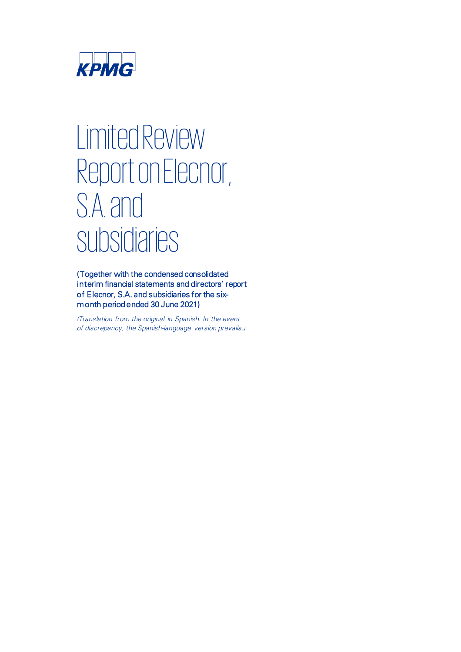

# Limited Review Report on Elecnor, S.A. and subsidiaries

(Together with the condensed consolidated interim financial statements and directors' report of Elecnor, S.A. and subsidiaries for the sixmonth period ended 30 June 2021)

*(Translation from the original in Spanish. In the event of discrepancy, the Spanish-language version prevails.)*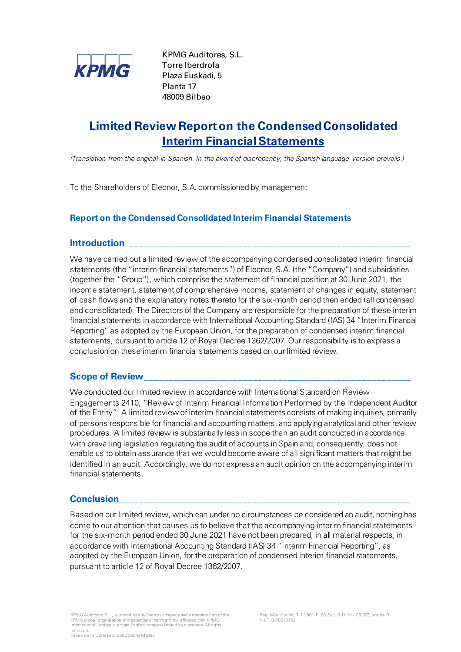

KPMG Auditores, S.L. Torre Iberdrola Plaza Euskadi, 5 Planta 17 48009 Bilbao

# **Limited Review Report on the Condensed Consolidated Interim Financial Statements**

*(Translation from the original in Spanish. In the event of discrepancy, the Spanish-language version prevails.)*

To the Shareholders of Elecnor, S.A. commissioned by management

### **Report on the Condensed Consolidated Interim Financial Statements**

### **Introduction \_\_\_\_\_\_\_\_\_\_\_\_\_\_\_\_\_\_\_\_\_\_\_\_\_\_\_\_\_\_\_\_\_\_\_\_\_\_\_\_\_\_\_\_\_\_\_\_\_\_\_\_\_\_\_\_\_**

We have carried out a limited review of the accompanying condensed consolidated interim financial statements (the "interim financial statements") of Elecnor, S.A. (the "Company") and subsidiaries (together the "Group"), which comprise the statement of financial position at 30 June 2021, the income statement, statement of comprehensive income, statement of changes in equity, statement of cash flows and the explanatory notes thereto for the six-month period then ended (all condensed and consolidated). The Directors of the Company are responsible for the preparation of these interim financial statements in accordance with International Accounting Standard (IAS) 34 "Interim Financial Reporting" as adopted by the European Union, for the preparation of condensed interim financial statements, pursuant to article 12 of Royal Decree 1362/2007. Our responsibility is to express a conclusion on these interim financial statements based on our limited review.

### Scope of Review

We conducted our limited review in accordance with International Standard on Review Engagements 2410, "Review of Interim Financial Information Performed by the Independent Auditor of the Entity". A limited review of interim financial statements consists of making inquiries, primarily of persons responsible for financial and accounting matters, and applying analytical and other review procedures. A limited review is substantially less in scope than an audit conducted in accordance with prevailing legislation regulating the audit of accounts in Spain and, consequently, does not enable us to obtain assurance that we would become aware of all significant matters that might be identified in an audit. Accordingly, we do not express an audit opinion on the accompanying interim financial statements.

### **Conclusion\_\_\_\_\_\_\_\_\_\_\_\_\_\_\_\_\_\_\_\_\_\_\_\_\_\_\_\_\_\_\_\_\_\_\_\_\_\_\_\_\_\_\_\_\_\_\_\_\_\_\_\_\_\_\_\_\_\_\_**

Based on our limited review, which can under no circumstances be considered an audit, nothing has come to our attention that causes us to believe that the accompanying interim financial statements for the six-month period ended 30 June 2021 have not been prepared, in all material respects, in accordance with International Accounting Standard (IAS) 34 "Interim Financial Reporting", as adopted by the European Union, for the preparation of condensed interim financial statements, pursuant to article 12 of Royal Decree 1362/2007.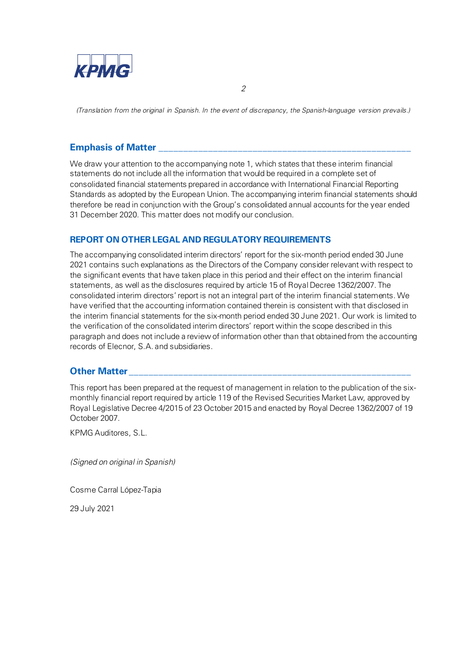

*(Translation from the original in Spanish. In the event of discrepancy, the Spanish-language version prevails.)*

*2*

### **Emphasis of Matter**

We draw your attention to the accompanying note 1, which states that these interim financial statements do not include all the information that would be required in a complete set of consolidated financial statements prepared in accordance with International Financial Reporting Standards as adopted by the European Union. The accompanying interim financial statements should therefore be read in conjunction with the Group's consolidated annual accounts for the year ended 31 December 2020. This matter does not modify our conclusion.

### **REPORT ON OTHER LEGAL AND REGULATORY REQUIREMENTS**

The accompanying consolidated interim directors' report for the six-month period ended 30 June 2021 contains such explanations as the Directors of the Company consider relevant with respect to the significant events that have taken place in this period and their effect on the interim financial statements, as well as the disclosures required by article 15 of Royal Decree 1362/2007. The consolidated interim directors' report is not an integral part of the interim financial statements. We have verified that the accounting information contained therein is consistent with that disclosed in the interim financial statements for the six-month period ended 30 June 2021. Our work is limited to the verification of the consolidated interim directors' report within the scope described in this paragraph and does not include a review of information other than that obtained from the accounting records of Elecnor, S.A. and subsidiaries.

### **Other Matter**

This report has been prepared at the request of management in relation to the publication of the sixmonthly financial report required by article 119 of the Revised Securities Market Law, approved by Royal Legislative Decree 4/2015 of 23 October 2015 and enacted by Royal Decree 1362/2007 of 19 October 2007.

KPMG Auditores, S.L.

*(Signed on original in Spanish)*

Cosme Carral López-Tapia

29 July 2021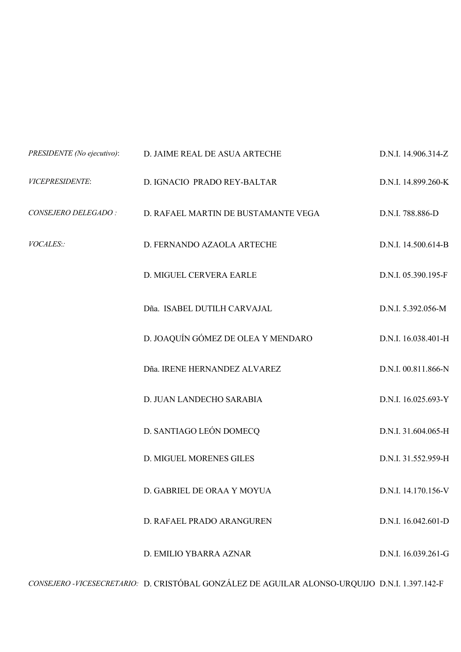| PRESIDENTE (No ejecutivo): | D. JAIME REAL DE ASUA ARTECHE       | D.N.I. 14.906.314-Z |
|----------------------------|-------------------------------------|---------------------|
| VICEPRESIDENTE:            | D. IGNACIO PRADO REY-BALTAR         | D.N.I. 14.899.260-K |
| CONSEJERO DELEGADO:        | D. RAFAEL MARTIN DE BUSTAMANTE VEGA | D.N.I. 788.886-D    |
| VOCALES::                  | D. FERNANDO AZAOLA ARTECHE          | D.N.I. 14.500.614-B |
|                            | D. MIGUEL CERVERA EARLE             | D.N.I. 05.390.195-F |
|                            | Dña. ISABEL DUTILH CARVAJAL         | D.N.I. 5.392.056-M  |
|                            | D. JOAQUÍN GÓMEZ DE OLEA Y MENDARO  | D.N.I. 16.038.401-H |
|                            | Dña. IRENE HERNANDEZ ALVAREZ        | D.N.I. 00.811.866-N |
|                            | D. JUAN LANDECHO SARABIA            | D.N.I. 16.025.693-Y |
|                            | D. SANTIAGO LEÓN DOMECQ             | D.N.I. 31.604.065-H |
|                            | <b>D. MIGUEL MORENES GILES</b>      | D.N.I. 31.552.959-H |
|                            | D. GABRIEL DE ORAA Y MOYUA          | D.N.I. 14.170.156-V |
|                            | D. RAFAEL PRADO ARANGUREN           | D.N.I. 16.042.601-D |
|                            | D. EMILIO YBARRA AZNAR              | D.N.I. 16.039.261-G |
|                            |                                     |                     |

*CONSEJERO -VICESECRETARIO:* D. CRISTÓBAL GONZÁLEZ DE AGUILAR ALONSO-URQUIJO D.N.I. 1.397.142-F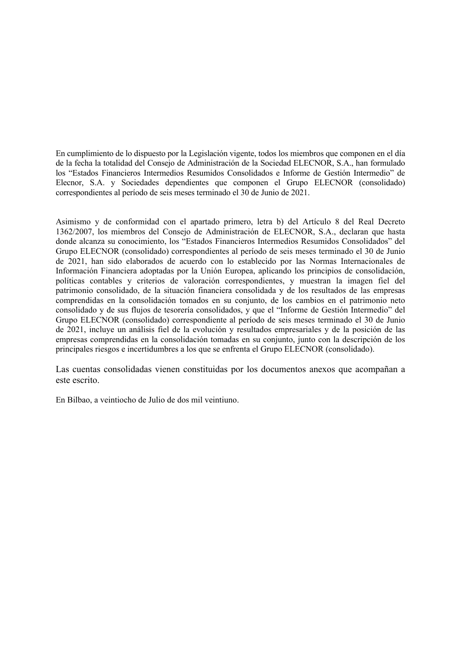En cumplimiento de lo dispuesto por la Legislación vigente, todos los miembros que componen en el día de la fecha la totalidad del Consejo de Administración de la Sociedad ELECNOR, S.A., han formulado los "Estados Financieros Intermedios Resumidos Consolidados e Informe de Gestión Intermedio" de Elecnor, S.A. y Sociedades dependientes que componen el Grupo ELECNOR (consolidado) correspondientes al período de seis meses terminado el 30 de Junio de 2021.

Asimismo y de conformidad con el apartado primero, letra b) del Artículo 8 del Real Decreto 1362/2007, los miembros del Consejo de Administración de ELECNOR, S.A., declaran que hasta donde alcanza su conocimiento, los "Estados Financieros Intermedios Resumidos Consolidados" del Grupo ELECNOR (consolidado) correspondientes al período de seis meses terminado el 30 de Junio de 2021, han sido elaborados de acuerdo con lo establecido por las Normas Internacionales de Información Financiera adoptadas por la Unión Europea, aplicando los principios de consolidación, políticas contables y criterios de valoración correspondientes, y muestran la imagen fiel del patrimonio consolidado, de la situación financiera consolidada y de los resultados de las empresas comprendidas en la consolidación tomados en su conjunto, de los cambios en el patrimonio neto consolidado y de sus flujos de tesorería consolidados, y que el "Informe de Gestión Intermedio" del Grupo ELECNOR (consolidado) correspondiente al período de seis meses terminado el 30 de Junio de 2021, incluye un análisis fiel de la evolución y resultados empresariales y de la posición de las empresas comprendidas en la consolidación tomadas en su conjunto, junto con la descripción de los principales riesgos e incertidumbres a los que se enfrenta el Grupo ELECNOR (consolidado).

Las cuentas consolidadas vienen constituidas por los documentos anexos que acompañan a este escrito.

En Bilbao, a veintiocho de Julio de dos mil veintiuno.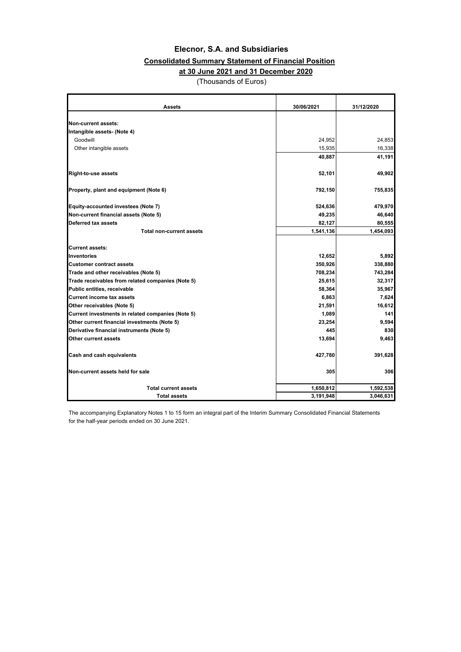### **Consolidated Summary Statement of Financial Position**

### **at 30 June 2021 and 31 December 2020**

(Thousands of Euros)

| <b>Assets</b>                                     | 30/06/2021 | 31/12/2020 |
|---------------------------------------------------|------------|------------|
|                                                   |            |            |
| Non-current assets:                               |            |            |
| Intangible assets- (Note 4)                       |            |            |
| Goodwill                                          | 24,952     | 24,853     |
| Other intangible assets                           | 15,935     | 16,338     |
|                                                   | 40,887     | 41,191     |
| <b>Right-to-use assets</b>                        | 52,101     | 49,902     |
| Property, plant and equipment (Note 6)            | 792,150    | 755,835    |
| Equity-accounted investees (Note 7)               | 524,636    | 479,970    |
| Non-current financial assets (Note 5)             | 49,235     | 46,640     |
| Deferred tax assets                               | 82,127     | 80,555     |
| <b>Total non-current assets</b>                   | 1,541,136  | 1,454,093  |
| <b>Current assets:</b>                            |            |            |
| Inventories                                       | 12,652     | 5,892      |
| <b>Customer contract assets</b>                   | 350,926    | 338,880    |
| Trade and other receivables (Note 5)              | 708,234    | 743,284    |
| Trade receivables from related companies (Note 5) | 25,615     | 32,317     |
| Public entities, receivable                       | 58,364     | 35,967     |
| <b>Current income tax assets</b>                  | 6,863      | 7,624      |
| Other receivables (Note 5)                        | 21,591     | 16,612     |
| Current investments in related companies (Note 5) | 1,089      | 141        |
| Other current financial investments (Note 5)      | 23,254     | 9,594      |
| Derivative financial instruments (Note 5)         | 445        | 830        |
| Other current assets                              | 13,694     | 9,463      |
| Cash and cash equivalents                         | 427,780    | 391,628    |
| Non-current assets held for sale                  | 305        | 306        |
| <b>Total current assets</b>                       | 1,650,812  | 1,592,538  |
| <b>Total assets</b>                               | 3,191,948  | 3,046,631  |

The accompanying Explanatory Notes 1 to 15 form an integral part of the Interim Summary Consolidated Financial Statements for the half-year periods ended on 30 June 2021.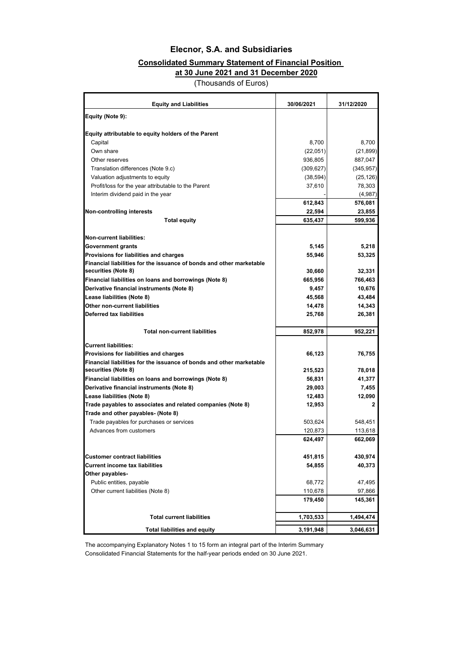### **Consolidated Summary Statement of Financial Position**

 **at 30 June 2021 and 31 December 2020**

(Thousands of Euros)

| <b>Equity and Liabilities</b>                                                               | 30/06/2021 | 31/12/2020   |
|---------------------------------------------------------------------------------------------|------------|--------------|
| Equity (Note 9):                                                                            |            |              |
|                                                                                             |            |              |
| Equity attributable to equity holders of the Parent                                         |            |              |
| Capital                                                                                     | 8,700      | 8,700        |
| Own share                                                                                   | (22,051)   | (21, 899)    |
| Other reserves                                                                              | 936,805    | 887,047      |
| Translation differences (Note 9.c)                                                          | (309, 627) | (345, 957)   |
| Valuation adjustments to equity                                                             | (38, 594)  | (25, 126)    |
| Profit/loss for the year attributable to the Parent                                         | 37,610     | 78,303       |
| Interim dividend paid in the year                                                           |            | (4,987)      |
|                                                                                             | 612,843    | 576,081      |
| <b>Non-controlling interests</b>                                                            | 22,594     | 23,855       |
| <b>Total equity</b>                                                                         | 635,437    | 599,936      |
| <b>Non-current liabilities:</b>                                                             |            |              |
| Government grants                                                                           | 5,145      | 5,218        |
| Provisions for liabilities and charges                                                      | 55,946     | 53,325       |
| Financial liabilities for the issuance of bonds and other marketable                        |            |              |
| securities (Note 8)                                                                         | 30,660     | 32,331       |
| Financial liabilities on loans and borrowings (Note 8)                                      | 665,956    | 766,463      |
| Derivative financial instruments (Note 8)                                                   | 9,457      | 10,676       |
| Lease liabilities (Note 8)                                                                  | 45,568     | 43,484       |
| Other non-current liabilities                                                               | 14,478     | 14,343       |
| <b>Deferred tax liabilities</b>                                                             | 25,768     | 26,381       |
| <b>Total non-current liabilities</b>                                                        | 852,978    | 952,221      |
|                                                                                             |            |              |
| <b>Current liabilities:</b>                                                                 |            |              |
| Provisions for liabilities and charges                                                      | 66,123     | 76,755       |
| Financial liabilities for the issuance of bonds and other marketable<br>securities (Note 8) | 215,523    | 78,018       |
| Financial liabilities on loans and borrowings (Note 8)                                      | 56,831     | 41,377       |
| Derivative financial instruments (Note 8)                                                   | 29,003     | 7,455        |
| Lease liabilities (Note 8)                                                                  | 12,483     | 12,090       |
| Trade payables to associates and related companies (Note 8)                                 | 12,953     | $\mathbf{2}$ |
| Trade and other payables- (Note 8)                                                          |            |              |
| Trade payables for purchases or services                                                    | 503,624    | 548,451      |
| Advances from customers                                                                     | 120,873    | 113,618      |
|                                                                                             | 624,497    | 662,069      |
| <b>Customer contract liabilities</b>                                                        | 451,815    | 430,974      |
| <b>Current income tax liabilities</b>                                                       | 54,855     | 40,373       |
| Other payables-                                                                             |            |              |
| Public entities, payable                                                                    | 68,772     | 47,495       |
| Other current liabilities (Note 8)                                                          | 110,678    | 97,866       |
|                                                                                             | 179,450    | 145,361      |
|                                                                                             |            |              |
| <b>Total current liabilities</b>                                                            | 1,703,533  | 1,494,474    |
| <b>Total liabilities and equity</b>                                                         | 3,191,948  | 3,046,631    |

The accompanying Explanatory Notes 1 to 15 form an integral part of the Interim Summary Consolidated Financial Statements for the half-year periods ended on 30 June 2021.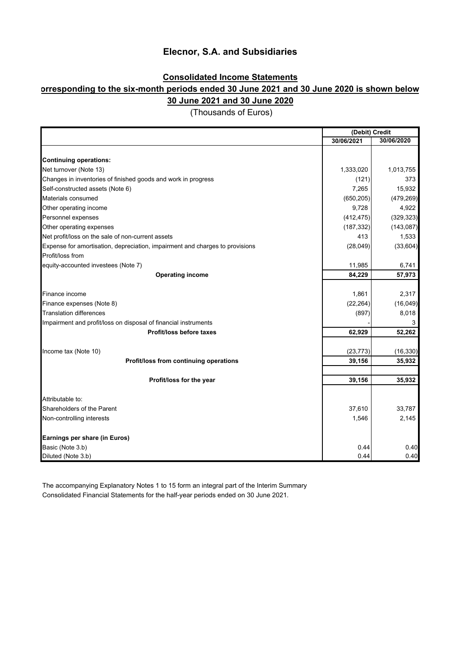### **Consolidated Income Statements**

### **orresponding to the six-month periods ended 30 June 2021 and 30 June 2020 is shown below 30 June 2021 and 30 June 2020**

|                                                                              | (Debit) Credit |            |
|------------------------------------------------------------------------------|----------------|------------|
|                                                                              | 30/06/2021     | 30/06/2020 |
|                                                                              |                |            |
| <b>Continuing operations:</b>                                                |                |            |
| Net turnover (Note 13)                                                       | 1,333,020      | 1,013,755  |
| Changes in inventories of finished goods and work in progress                | (121)          | 373        |
| Self-constructed assets (Note 6)                                             | 7,265          | 15,932     |
| Materials consumed                                                           | (650, 205)     | (479, 269) |
| Other operating income                                                       | 9,728          | 4,922      |
| Personnel expenses                                                           | (412, 475)     | (329, 323) |
| Other operating expenses                                                     | (187, 332)     | (143, 087) |
| Net profit/loss on the sale of non-current assets                            | 413            | 1,533      |
| Expense for amortisation, depreciation, impairment and charges to provisions | (28, 049)      | (33, 604)  |
| Profit/loss from                                                             |                |            |
| equity-accounted investees (Note 7)                                          | 11,985         | 6,741      |
| <b>Operating income</b>                                                      | 84,229         | 57,973     |
|                                                                              |                |            |
| Finance income                                                               | 1,861          | 2,317      |
| Finance expenses (Note 8)                                                    | (22, 264)      | (16,049)   |
| <b>Translation differences</b>                                               | (897)          | 8,018      |
| Impairment and profit/loss on disposal of financial instruments              |                | 3          |
| Profit/loss before taxes                                                     | 62,929         | 52,262     |
|                                                                              |                |            |
| Income tax (Note 10)                                                         | (23, 773)      | (16, 330)  |
| Profit/loss from continuing operations                                       | 39,156         | 35,932     |
|                                                                              | 39,156         | 35,932     |
| Profit/loss for the year                                                     |                |            |
| Attributable to:                                                             |                |            |
| Shareholders of the Parent                                                   | 37,610         | 33,787     |
| Non-controlling interests                                                    | 1,546          | 2,145      |
|                                                                              |                |            |
| Earnings per share (in Euros)                                                |                |            |
| Basic (Note 3.b)                                                             | 0.44           | 0.40       |
| Diluted (Note 3.b)                                                           | 0.44           | 0.40       |

(Thousands of Euros)

Consolidated Financial Statements for the half-year periods ended on 30 June 2021. The accompanying Explanatory Notes 1 to 15 form an integral part of the Interim Summary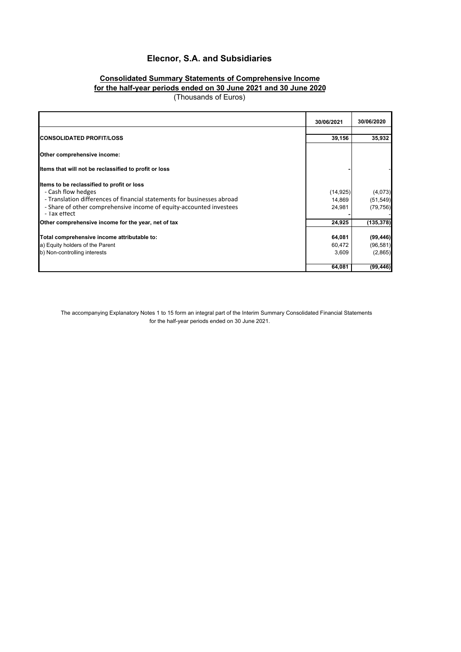### **Consolidated Summary Statements of Comprehensive Income for the half-year periods ended on 30 June 2021 and 30 June 2020**

(Thousands of Euros)

|                                                                         | 30/06/2021 | 30/06/2020 |
|-------------------------------------------------------------------------|------------|------------|
|                                                                         |            |            |
| <b>CONSOLIDATED PROFIT/LOSS</b>                                         | 39,156     | 35,932     |
| Other comprehensive income:                                             |            |            |
| Items that will not be reclassified to profit or loss                   |            |            |
| Items to be reclassified to profit or loss                              |            |            |
| - Cash flow hedges                                                      | (14, 925)  | (4,073)    |
| - Translation differences of financial statements for businesses abroad | 14,869     | (51, 549)  |
| - Share of other comprehensive income of equity-accounted investees     | 24,981     | (79, 756)  |
| - Tax ettect                                                            |            |            |
| Other comprehensive income for the year, net of tax                     | 24,925     | (135, 378) |
|                                                                         |            |            |
| Total comprehensive income attributable to:                             | 64,081     | (99, 446)  |
| a) Equity holders of the Parent                                         | 60,472     | (96, 581)  |
| b) Non-controlling interests                                            | 3,609      | (2,865)    |
|                                                                         | 64,081     | (99, 446)  |

The accompanying Explanatory Notes 1 to 15 form an integral part of the Interim Summary Consolidated Financial Statements for the half-year periods ended on 30 June 2021.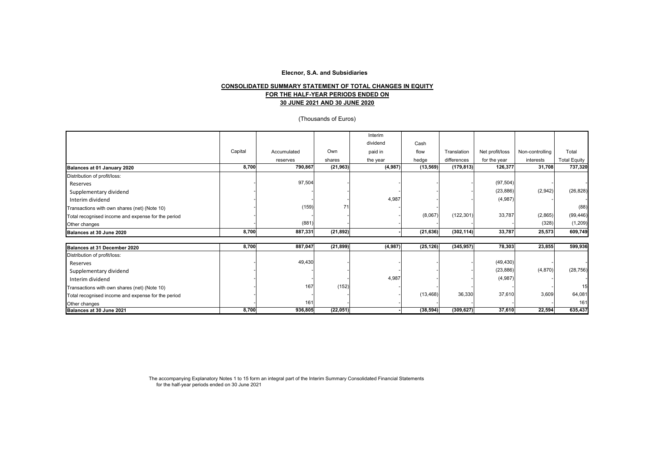#### **30 JUNE 2021 AND 30 JUNE 2020 FOR THE HALF-YEAR PERIODS ENDED ON CONSOLIDATED SUMMARY STATEMENT OF TOTAL CHANGES IN EQUITY**

#### (Thousands of Euros)

|                                                    |         |             |           | Interim  |           |             |                 |                 |                     |
|----------------------------------------------------|---------|-------------|-----------|----------|-----------|-------------|-----------------|-----------------|---------------------|
|                                                    |         |             |           | dividend | Cash      |             |                 |                 |                     |
|                                                    | Capital | Accumulated | Own       | paid in  | flow      | Translation | Net profit/loss | Non-controlling | Total               |
|                                                    |         | reserves    | shares    | the year | hedge     | differences | for the year    | interests       | <b>Total Equity</b> |
| Balances at 01 January 2020                        | 8,700   | 790,867     | (21, 963) | (4,987)  | (13, 569) | (179, 813)  | 126,377         | 31,708          | 737,320             |
| Distribution of profit/loss:                       |         |             |           |          |           |             |                 |                 |                     |
| Reserves                                           |         | 97,504      |           |          |           |             | (97, 504)       |                 |                     |
| Supplementary dividend                             |         |             |           |          |           |             | (23, 886)       | (2,942)         | (26, 828)           |
| Interim dividend                                   |         |             |           | 4,987    |           |             | (4,987)         |                 |                     |
| Transactions with own shares (net) (Note 10)       |         | (159)       |           |          |           |             |                 |                 | (88)                |
| Total recognised income and expense for the period |         |             |           |          | (8,067)   | (122, 301)  | 33,787          | (2,865)         | (99, 446)           |
| Other changes                                      |         | (881)       |           |          |           |             |                 | (328)           | (1, 209)            |
| Balances at 30 June 2020                           | 8,700   | 887,331     | (21, 892) |          | (21, 636) | (302, 114)  | 33,787          | 25,573          | 609,749             |
| Balances at 31 December 2020                       | 8,700   | 887,047     | (21, 899) | (4,987)  | (25, 126) | (345, 957)  | 78,303          | 23,855          | 599,936             |
| Distribution of profit/loss:                       |         |             |           |          |           |             |                 |                 |                     |
| Reserves                                           |         | 49,430      |           |          |           |             | (49, 430)       |                 |                     |
| Supplementary dividend                             |         |             |           |          |           |             | (23, 886)       | (4,870)         | (28, 756)           |
| Interim dividend                                   |         |             |           | 4,987    |           |             | (4,987)         |                 |                     |
| Transactions with own shares (net) (Note 10)       |         | 167         | (152)     |          |           |             |                 |                 | 15                  |
| Total recognised income and expense for the period |         |             |           |          | (13, 468) | 36,330      | 37,610          | 3,609           | 64,081              |
| Other changes                                      |         | 161         |           |          |           |             |                 |                 | 161                 |
| Balances at 30 June 2021                           | 8,700   | 936,805     | (22,051)  |          | (38, 594) | (309, 627)  | 37,610          | 22,594          | 635,437             |

The accompanying Explanatory Notes 1 to 15 form an integral part of the Interim Summary Consolidated Financial Statements for the half-year periods ended on 30 June 2021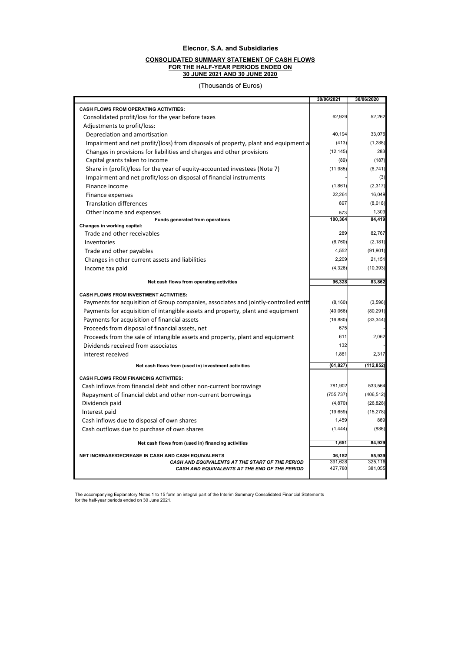#### **CONSOLIDATED SUMMARY STATEMENT OF CASH FLOWS FOR THE HALF-YEAR PERIODS ENDED ON 30 JUNE 2021 AND 30 JUNE 2020**

(Thousands of Euros)

|                                                                                      | 30/06/2021        | 30/06/2020        |
|--------------------------------------------------------------------------------------|-------------------|-------------------|
| <b>CASH FLOWS FROM OPERATING ACTIVITIES:</b>                                         |                   |                   |
| Consolidated profit/loss for the year before taxes                                   | 62.929            | 52,262            |
| Adjustments to profit/loss:                                                          |                   |                   |
| Depreciation and amortisation                                                        | 40,194            | 33,076            |
| Impairment and net profit/(loss) from disposals of property, plant and equipment a   | (413)             | (1, 288)          |
| Changes in provisions for liabilities and charges and other provisions               | (12, 145)         | 283               |
| Capital grants taken to income                                                       | (89)              | (187)             |
| Share in (profit)/loss for the year of equity-accounted investees (Note 7)           | (11, 985)         | (6, 741)          |
| Impairment and net profit/loss on disposal of financial instruments                  |                   | (3)               |
| Finance income                                                                       | (1,861)           | (2, 317)          |
| Finance expenses                                                                     | 22,264            | 16,049            |
| <b>Translation differences</b>                                                       | 897               | (8,018)           |
| Other income and expenses                                                            | 573               | 1,303             |
| Funds generated from operations                                                      | 100,364           | 84,419            |
| Changes in working capital:<br>Trade and other receivables                           | 289               | 82,767            |
| Inventories                                                                          | (6,760)           | (2, 181)          |
|                                                                                      | 4,552             | (91, 901)         |
| Trade and other payables                                                             | 2,209             | 21,151            |
| Changes in other current assets and liabilities                                      |                   |                   |
| Income tax paid                                                                      | (4, 326)          | (10, 393)         |
| Net cash flows from operating activities                                             | 96,328            | 83,862            |
| <b>CASH FLOWS FROM INVESTMENT ACTIVITIES:</b>                                        |                   |                   |
| Payments for acquisition of Group companies, associates and jointly-controlled entit | (8, 160)          | (3,596)           |
| Payments for acquisition of intangible assets and property, plant and equipment      | (40,066)          | (80, 291)         |
| Payments for acquisition of financial assets                                         | (16, 880)         | (33, 344)         |
| Proceeds from disposal of financial assets, net                                      | 675               |                   |
| Proceeds from the sale of intangible assets and property, plant and equipment        | 611               | 2,062             |
| Dividends received from associates                                                   | 132               |                   |
| Interest received                                                                    | 1.861             | 2,317             |
| Net cash flows from (used in) investment activities                                  | (61, 827)         | (112, 852)        |
|                                                                                      |                   |                   |
| <b>CASH FLOWS FROM FINANCING ACTIVITIES:</b>                                         |                   |                   |
| Cash inflows from financial debt and other non-current borrowings                    | 781,902           | 533,564           |
| Repayment of financial debt and other non-current borrowings                         | (755, 737)        | (406, 512)        |
| Dividends paid                                                                       | (4,870)           | (26, 828)         |
| Interest paid                                                                        | (19, 659)         | (15, 278)         |
| Cash inflows due to disposal of own shares                                           | 1,459             | 869               |
| Cash outflows due to purchase of own shares                                          | (1, 444)          | (886)             |
| Net cash flows from (used in) financing activities                                   | 1,651             | 84,929            |
| NET INCREASE/DECREASE IN CASH AND CASH EQUIVALENTS                                   |                   |                   |
| CASH AND EQUIVALENTS AT THE START OF THE PERIOD                                      | 36,152<br>391,628 | 55,939<br>325,116 |
| CASH AND EQUIVALENTS AT THE END OF THE PERIOD                                        | 427,780           | 381,055           |
|                                                                                      |                   |                   |

The accompanying Explanatory Notes 1 to 15 form an integral part of the Interim Summary Consolidated Financial Statements for the half-year periods ended on 30 June 2021.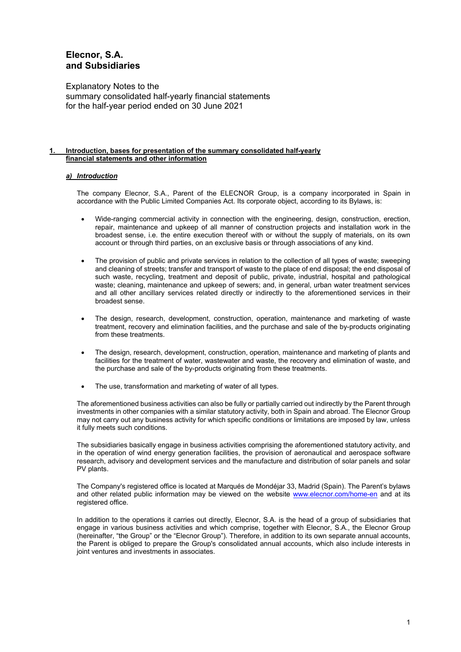Explanatory Notes to the summary consolidated half-yearly financial statements for the half-year period ended on 30 June 2021

#### Introduction, bases for presentation of the summary consolidated half-yearly **financial statements and other information**

#### *a) Introduction*

The company Elecnor, S.A., Parent of the ELECNOR Group, is a company incorporated in Spain in accordance with the Public Limited Companies Act. Its corporate object, according to its Bylaws, is:

- Wide-ranging commercial activity in connection with the engineering, design, construction, erection, repair, maintenance and upkeep of all manner of construction projects and installation work in the broadest sense, i.e. the entire execution thereof with or without the supply of materials, on its own account or through third parties, on an exclusive basis or through associations of any kind.
- The provision of public and private services in relation to the collection of all types of waste; sweeping and cleaning of streets; transfer and transport of waste to the place of end disposal; the end disposal of such waste, recycling, treatment and deposit of public, private, industrial, hospital and pathological waste; cleaning, maintenance and upkeep of sewers; and, in general, urban water treatment services and all other ancillary services related directly or indirectly to the aforementioned services in their broadest sense.
- The design, research, development, construction, operation, maintenance and marketing of waste treatment, recovery and elimination facilities, and the purchase and sale of the by-products originating from these treatments.
- The design, research, development, construction, operation, maintenance and marketing of plants and facilities for the treatment of water, wastewater and waste, the recovery and elimination of waste, and the purchase and sale of the by-products originating from these treatments.
- The use, transformation and marketing of water of all types.

The aforementioned business activities can also be fully or partially carried out indirectly by the Parent through investments in other companies with a similar statutory activity, both in Spain and abroad. The Elecnor Group may not carry out any business activity for which specific conditions or limitations are imposed by law, unless it fully meets such conditions.

The subsidiaries basically engage in business activities comprising the aforementioned statutory activity, and in the operation of wind energy generation facilities, the provision of aeronautical and aerospace software research, advisory and development services and the manufacture and distribution of solar panels and solar PV plants.

The Company's registered office is located at Marqués de Mondéjar 33, Madrid (Spain). The Parent's bylaws and other related public information may be viewed on the website www.elecnor.com/home-en and at its registered office.

In addition to the operations it carries out directly, Elecnor, S.A. is the head of a group of subsidiaries that engage in various business activities and which comprise, together with Elecnor, S.A., the Elecnor Group (hereinafter, "the Group" or the "Elecnor Group"). Therefore, in addition to its own separate annual accounts, the Parent is obliged to prepare the Group's consolidated annual accounts, which also include interests in joint ventures and investments in associates.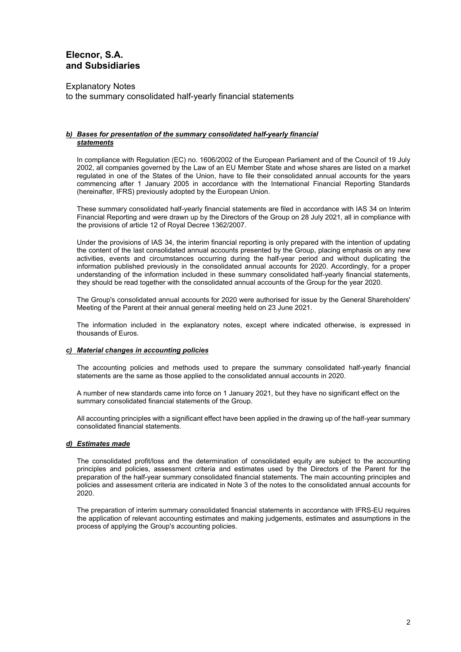Explanatory Notes to the summary consolidated half-yearly financial statements

#### *b) Bases for presentation of the summary consolidated half-yearly financial statements*

In compliance with Regulation (EC) no. 1606/2002 of the European Parliament and of the Council of 19 July 2002, all companies governed by the Law of an EU Member State and whose shares are listed on a market regulated in one of the States of the Union, have to file their consolidated annual accounts for the years commencing after 1 January 2005 in accordance with the International Financial Reporting Standards (hereinafter, IFRS) previously adopted by the European Union.

These summary consolidated half-yearly financial statements are filed in accordance with IAS 34 on Interim Financial Reporting and were drawn up by the Directors of the Group on 28 July 2021, all in compliance with the provisions of article 12 of Royal Decree 1362/2007.

Under the provisions of IAS 34, the interim financial reporting is only prepared with the intention of updating the content of the last consolidated annual accounts presented by the Group, placing emphasis on any new activities, events and circumstances occurring during the half-year period and without duplicating the information published previously in the consolidated annual accounts for 2020. Accordingly, for a proper understanding of the information included in these summary consolidated half-yearly financial statements, they should be read together with the consolidated annual accounts of the Group for the year 2020.

The Group's consolidated annual accounts for 2020 were authorised for issue by the General Shareholders' Meeting of the Parent at their annual general meeting held on 23 June 2021.

The information included in the explanatory notes, except where indicated otherwise, is expressed in thousands of Euros.

#### *c) Material changes in accounting policies*

The accounting policies and methods used to prepare the summary consolidated half-yearly financial statements are the same as those applied to the consolidated annual accounts in 2020.

A number of new standards came into force on 1 January 2021, but they have no significant effect on the summary consolidated financial statements of the Group.

All accounting principles with a significant effect have been applied in the drawing up of the half-year summary consolidated financial statements.

#### *d) Estimates made*

The consolidated profit/loss and the determination of consolidated equity are subject to the accounting principles and policies, assessment criteria and estimates used by the Directors of the Parent for the preparation of the half-year summary consolidated financial statements. The main accounting principles and policies and assessment criteria are indicated in Note 3 of the notes to the consolidated annual accounts for 2020.

The preparation of interim summary consolidated financial statements in accordance with IFRS-EU requires the application of relevant accounting estimates and making judgements, estimates and assumptions in the process of applying the Group's accounting policies.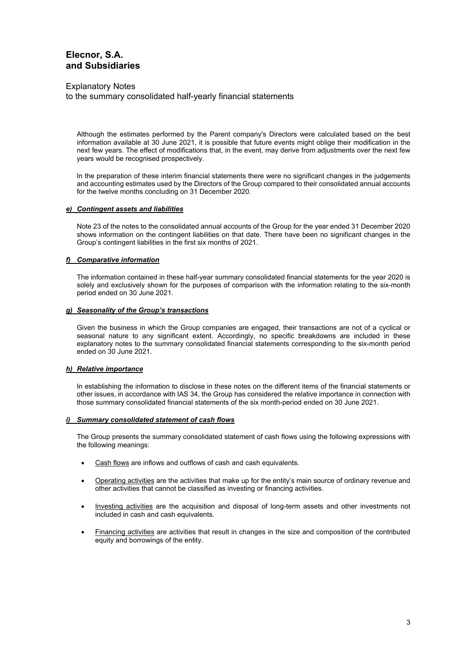Explanatory Notes

to the summary consolidated half-yearly financial statements

Although the estimates performed by the Parent company's Directors were calculated based on the best information available at 30 June 2021, it is possible that future events might oblige their modification in the next few years. The effect of modifications that, in the event, may derive from adjustments over the next few years would be recognised prospectively.

In the preparation of these interim financial statements there were no significant changes in the judgements and accounting estimates used by the Directors of the Group compared to their consolidated annual accounts for the twelve months concluding on 31 December 2020.

#### *e) Contingent assets and liabilities*

Note 23 of the notes to the consolidated annual accounts of the Group for the year ended 31 December 2020 shows information on the contingent liabilities on that date. There have been no significant changes in the Group's contingent liabilities in the first six months of 2021.

#### *f) Comparative information*

The information contained in these half-year summary consolidated financial statements for the year 2020 is solely and exclusively shown for the purposes of comparison with the information relating to the six-month period ended on 30 June 2021.

#### *g) Seasonality of the Group's transactions*

Given the business in which the Group companies are engaged, their transactions are not of a cyclical or seasonal nature to any significant extent. Accordingly, no specific breakdowns are included in these explanatory notes to the summary consolidated financial statements corresponding to the six-month period ended on 30 June 2021.

#### *h) Relative importance*

In establishing the information to disclose in these notes on the different items of the financial statements or other issues, in accordance with IAS 34, the Group has considered the relative importance in connection with those summary consolidated financial statements of the six month-period ended on 30 June 2021.

#### *i) Summary consolidated statement of cash flows*

The Group presents the summary consolidated statement of cash flows using the following expressions with the following meanings:

- Cash flows are inflows and outflows of cash and cash equivalents.
- Operating activities are the activities that make up for the entity's main source of ordinary revenue and other activities that cannot be classified as investing or financing activities.
- Investing activities are the acquisition and disposal of long-term assets and other investments not included in cash and cash equivalents.
- Financing activities are activities that result in changes in the size and composition of the contributed equity and borrowings of the entity.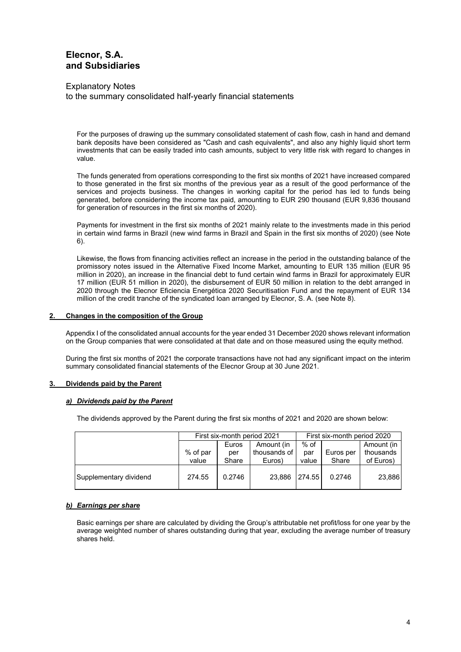Explanatory Notes to the summary consolidated half-yearly financial statements

For the purposes of drawing up the summary consolidated statement of cash flow, cash in hand and demand bank deposits have been considered as "Cash and cash equivalents", and also any highly liquid short term investments that can be easily traded into cash amounts, subject to very little risk with regard to changes in value.

The funds generated from operations corresponding to the first six months of 2021 have increased compared to those generated in the first six months of the previous year as a result of the good performance of the services and projects business. The changes in working capital for the period has led to funds being generated, before considering the income tax paid, amounting to EUR 290 thousand (EUR 9,836 thousand for generation of resources in the first six months of 2020).

Payments for investment in the first six months of 2021 mainly relate to the investments made in this period in certain wind farms in Brazil (new wind farms in Brazil and Spain in the first six months of 2020) (see Note 6).

Likewise, the flows from financing activities reflect an increase in the period in the outstanding balance of the promissory notes issued in the Alternative Fixed Income Market, amounting to EUR 135 million (EUR 95 million in 2020), an increase in the financial debt to fund certain wind farms in Brazil for approximately EUR 17 million (EUR 51 million in 2020), the disbursement of EUR 50 million in relation to the debt arranged in 2020 through the Elecnor Eficiencia Energética 2020 Securitisation Fund and the repayment of EUR 134 million of the credit tranche of the syndicated loan arranged by Elecnor, S. A. (see Note 8).

#### **2. Changes in the composition of the Group**

Appendix I of the consolidated annual accounts for the year ended 31 December 2020 shows relevant information on the Group companies that were consolidated at that date and on those measured using the equity method.

During the first six months of 2021 the corporate transactions have not had any significant impact on the interim summary consolidated financial statements of the Elecnor Group at 30 June 2021.

#### **3. Dividends paid by the Parent**

#### *a) Dividends paid by the Parent*

The dividends approved by the Parent during the first six months of 2021 and 2020 are shown below:

|                        | First six-month period 2021 |        |              | First six-month period 2020 |           |            |
|------------------------|-----------------------------|--------|--------------|-----------------------------|-----------|------------|
|                        |                             | Euros  | Amount (in   | % of                        |           | Amount (in |
|                        | % of par                    | per    | thousands of | par                         | Euros per | thousands  |
|                        | value                       | Share  | Euros)       | value                       | Share     | of Euros)  |
| Supplementary dividend | 274.55                      | 0.2746 | 23.886       | 274.55                      | 0.2746    | 23,886     |

#### *b) Earnings per share*

Basic earnings per share are calculated by dividing the Group's attributable net profit/loss for one year by the average weighted number of shares outstanding during that year, excluding the average number of treasury shares held.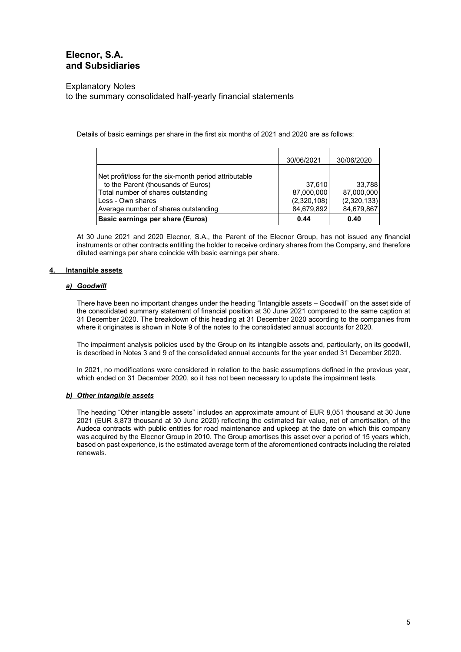#### Explanatory Notes

to the summary consolidated half-yearly financial statements

Details of basic earnings per share in the first six months of 2021 and 2020 are as follows:

|                                                                                                                                                                                                | 30/06/2021                                        | 30/06/2020                                        |
|------------------------------------------------------------------------------------------------------------------------------------------------------------------------------------------------|---------------------------------------------------|---------------------------------------------------|
| Net profit/loss for the six-month period attributable<br>to the Parent (thousands of Euros)<br>Total number of shares outstanding<br>Less - Own shares<br>Average number of shares outstanding | 37,610<br>87,000,000<br>(2,320,108)<br>84,679,892 | 33,788<br>87,000,000<br>(2,320,133)<br>84,679,867 |
| <b>Basic earnings per share (Euros)</b>                                                                                                                                                        | 0.44                                              | 0.40                                              |

At 30 June 2021 and 2020 Elecnor, S.A., the Parent of the Elecnor Group, has not issued any financial instruments or other contracts entitling the holder to receive ordinary shares from the Company, and therefore diluted earnings per share coincide with basic earnings per share.

#### **4. Intangible assets**

#### *a) Goodwill*

There have been no important changes under the heading "Intangible assets – Goodwill" on the asset side of the consolidated summary statement of financial position at 30 June 2021 compared to the same caption at 31 December 2020. The breakdown of this heading at 31 December 2020 according to the companies from where it originates is shown in Note 9 of the notes to the consolidated annual accounts for 2020.

The impairment analysis policies used by the Group on its intangible assets and, particularly, on its goodwill, is described in Notes 3 and 9 of the consolidated annual accounts for the year ended 31 December 2020.

In 2021, no modifications were considered in relation to the basic assumptions defined in the previous year, which ended on 31 December 2020, so it has not been necessary to update the impairment tests.

#### *b) Other intangible assets*

The heading "Other intangible assets" includes an approximate amount of EUR 8,051 thousand at 30 June 2021 (EUR 8,873 thousand at 30 June 2020) reflecting the estimated fair value, net of amortisation, of the Audeca contracts with public entities for road maintenance and upkeep at the date on which this company was acquired by the Elecnor Group in 2010. The Group amortises this asset over a period of 15 years which, based on past experience, is the estimated average term of the aforementioned contracts including the related renewals.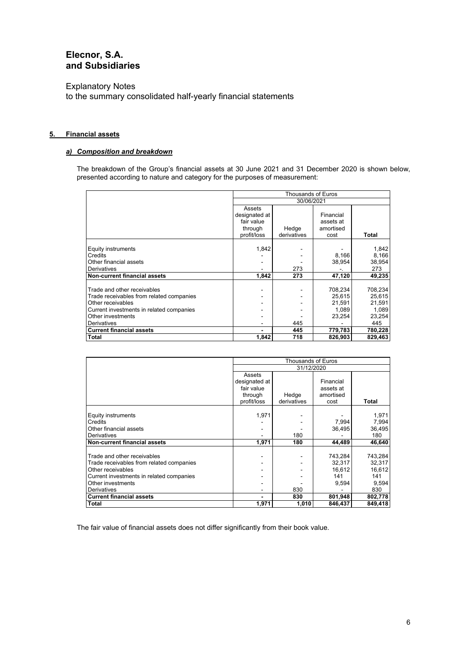Explanatory Notes to the summary consolidated half-yearly financial statements

#### **5. Financial assets**

### *a) Composition and breakdown*

The breakdown of the Group's financial assets at 30 June 2021 and 31 December 2020 is shown below, presented according to nature and category for the purposes of measurement:

|                                          | <b>Thousands of Euros</b> |             |           |              |  |
|------------------------------------------|---------------------------|-------------|-----------|--------------|--|
|                                          | 30/06/2021                |             |           |              |  |
|                                          | Assets                    |             |           |              |  |
|                                          | designated at             |             | Financial |              |  |
|                                          | fair value                |             | assets at |              |  |
|                                          | through                   | Hedge       | amortised |              |  |
|                                          | profit/loss               | derivatives | cost      | <b>Total</b> |  |
|                                          |                           |             |           |              |  |
| Equity instruments                       | 1,842                     |             |           | 1,842        |  |
| Credits                                  |                           |             | 8,166     | 8,166        |  |
| Other financial assets                   |                           |             | 38,954    | 38,954       |  |
| Derivatives                              |                           | 273         |           | 273          |  |
| <b>Non-current financial assets</b>      | 1,842                     | 273         | 47,120    | 49,235       |  |
|                                          |                           |             |           |              |  |
| Trade and other receivables              |                           |             | 708,234   | 708,234      |  |
| Trade receivables from related companies |                           |             | 25.615    | 25.615       |  |
| Other receivables                        |                           |             | 21.591    | 21.591       |  |
| Current investments in related companies |                           |             | 1,089     | 1,089        |  |
| Other investments                        |                           |             | 23,254    | 23,254       |  |
| <b>Derivatives</b>                       |                           | 445         |           | 445          |  |
| <b>Current financial assets</b>          |                           | 445         | 779,783   | 780,228      |  |
| <b>Total</b>                             | 1,842                     | 718         | 826,903   | 829,463      |  |

|                                          | Thousands of Euros |             |           |         |  |
|------------------------------------------|--------------------|-------------|-----------|---------|--|
|                                          | 31/12/2020         |             |           |         |  |
|                                          | Assets             |             |           |         |  |
|                                          | designated at      |             | Financial |         |  |
|                                          | fair value         |             | assets at |         |  |
|                                          | through            | Hedge       | amortised |         |  |
|                                          | profit/loss        | derivatives | cost      | Total   |  |
|                                          |                    |             |           |         |  |
| Equity instruments                       | 1,971              |             |           | 1,971   |  |
| Credits                                  |                    |             | 7.994     | 7,994   |  |
| Other financial assets                   |                    |             | 36,495    | 36,495  |  |
| <b>Derivatives</b>                       |                    | 180         |           | 180     |  |
| <b>Non-current financial assets</b>      | 1,971              | 180         | 44,489    | 46,640  |  |
|                                          |                    |             |           |         |  |
| Trade and other receivables              |                    |             | 743,284   | 743,284 |  |
| Trade receivables from related companies |                    |             | 32.317    | 32,317  |  |
| Other receivables                        | $\,$               |             | 16,612    | 16,612  |  |
| Current investments in related companies |                    |             | 141       | 141     |  |
| Other investments                        |                    |             | 9,594     | 9,594   |  |
| Derivatives                              |                    | 830         |           | 830     |  |
| <b>Current financial assets</b>          |                    | 830         | 801,948   | 802,778 |  |
| <b>Total</b>                             | 1,971              | 1,010       | 846,437   | 849,418 |  |

The fair value of financial assets does not differ significantly from their book value.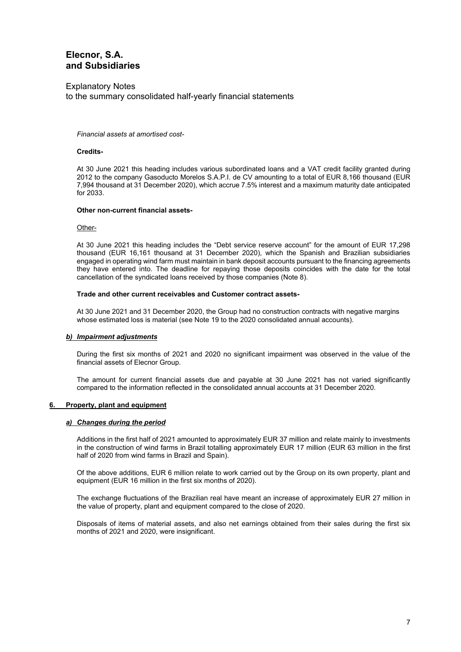Explanatory Notes to the summary consolidated half-yearly financial statements

#### *Financial assets at amortised cost-*

#### **Credits-**

At 30 June 2021 this heading includes various subordinated loans and a VAT credit facility granted during 2012 to the company Gasoducto Morelos S.A.P.I. de CV amounting to a total of EUR 8,166 thousand (EUR 7,994 thousand at 31 December 2020), which accrue 7.5% interest and a maximum maturity date anticipated for 2033.

#### **Other non-current financial assets-**

Other-

At 30 June 2021 this heading includes the "Debt service reserve account" for the amount of EUR 17,298 thousand (EUR 16,161 thousand at 31 December 2020), which the Spanish and Brazilian subsidiaries engaged in operating wind farm must maintain in bank deposit accounts pursuant to the financing agreements they have entered into. The deadline for repaying those deposits coincides with the date for the total cancellation of the syndicated loans received by those companies (Note 8).

#### **Trade and other current receivables and Customer contract assets-**

At 30 June 2021 and 31 December 2020, the Group had no construction contracts with negative margins whose estimated loss is material (see Note 19 to the 2020 consolidated annual accounts).

#### *b) Impairment adjustments*

During the first six months of 2021 and 2020 no significant impairment was observed in the value of the financial assets of Elecnor Group.

The amount for current financial assets due and payable at 30 June 2021 has not varied significantly compared to the information reflected in the consolidated annual accounts at 31 December 2020.

#### **6. Property, plant and equipment**

#### *a) Changes during the period*

Additions in the first half of 2021 amounted to approximately EUR 37 million and relate mainly to investments in the construction of wind farms in Brazil totalling approximately EUR 17 million (EUR 63 million in the first half of 2020 from wind farms in Brazil and Spain).

Of the above additions, EUR 6 million relate to work carried out by the Group on its own property, plant and equipment (EUR 16 million in the first six months of 2020).

The exchange fluctuations of the Brazilian real have meant an increase of approximately EUR 27 million in the value of property, plant and equipment compared to the close of 2020.

Disposals of items of material assets, and also net earnings obtained from their sales during the first six months of 2021 and 2020, were insignificant.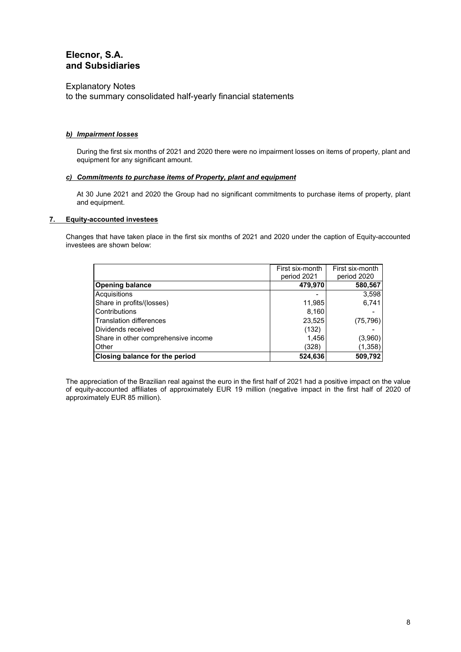Explanatory Notes

to the summary consolidated half-yearly financial statements

#### *b) Impairment losses*

During the first six months of 2021 and 2020 there were no impairment losses on items of property, plant and equipment for any significant amount.

#### *c) Commitments to purchase items of Property, plant and equipment*

At 30 June 2021 and 2020 the Group had no significant commitments to purchase items of property, plant and equipment.

#### **7. Equity-accounted investees**

Changes that have taken place in the first six months of 2021 and 2020 under the caption of Equity-accounted investees are shown below:

|                                     | First six-month<br>period 2021 | First six-month<br>period 2020 |
|-------------------------------------|--------------------------------|--------------------------------|
| <b>Opening balance</b>              | 479,970                        | 580,567                        |
| Acquisitions                        |                                | 3,598                          |
| Share in profits/(losses)           | 11,985                         | 6,741                          |
| Contributions                       | 8,160                          |                                |
| <b>Translation differences</b>      | 23,525                         | (75, 796)                      |
| Dividends received                  | (132)                          |                                |
| Share in other comprehensive income | 1,456                          | (3,960)                        |
| Other                               | (328)                          | (1, 358)                       |
| Closing balance for the period      | 524,636                        | 509,792                        |

The appreciation of the Brazilian real against the euro in the first half of 2021 had a positive impact on the value of equity-accounted affiliates of approximately EUR 19 million (negative impact in the first half of 2020 of approximately EUR 85 million).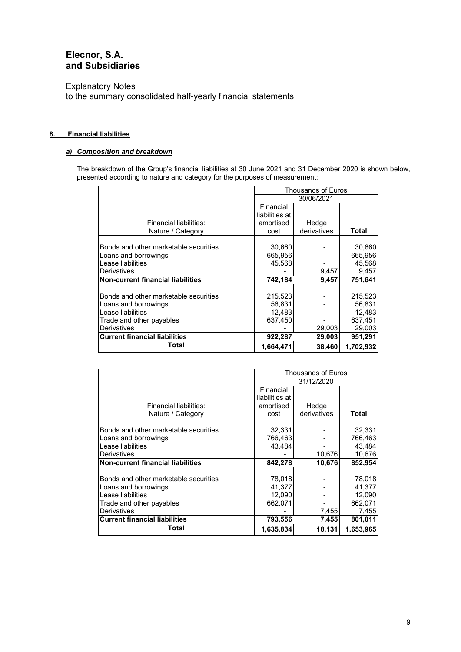Explanatory Notes to the summary consolidated half-yearly financial statements

### **8. Financial liabilities**

### *a) Composition and breakdown*

The breakdown of the Group's financial liabilities at 30 June 2021 and 31 December 2020 is shown below, presented according to nature and category for the purposes of measurement:

|                                          | Thousands of Euros |             |           |  |
|------------------------------------------|--------------------|-------------|-----------|--|
|                                          | 30/06/2021         |             |           |  |
|                                          | Financial          |             |           |  |
|                                          | liabilities at     |             |           |  |
| Financial liabilities:                   | amortised          | Hedge       |           |  |
| Nature / Category                        | cost               | derivatives | Total     |  |
|                                          |                    |             |           |  |
| Bonds and other marketable securities    | 30,660             |             | 30,660    |  |
| Loans and borrowings                     | 665,956            |             | 665,956   |  |
| Lease liabilities                        | 45.568             |             | 45,568    |  |
| <b>Derivatives</b>                       |                    | 9,457       | 9,457     |  |
| <b>Non-current financial liabilities</b> | 742,184            | 9,457       | 751,641   |  |
|                                          |                    |             |           |  |
| Bonds and other marketable securities    | 215,523            |             | 215,523   |  |
| Loans and borrowings                     | 56,831             |             | 56,831    |  |
| Lease liabilities                        | 12,483             |             | 12,483    |  |
| Trade and other payables                 | 637.450            |             | 637.451   |  |
| <b>Derivatives</b>                       |                    | 29,003      | 29,003    |  |
| <b>Current financial liabilities</b>     | 922,287            | 29,003      | 951,291   |  |
| Total                                    | 1,664,471          | 38,460      | 1,702,932 |  |

|                                          | <b>Thousands of Euros</b> |             |           |  |
|------------------------------------------|---------------------------|-------------|-----------|--|
|                                          | 31/12/2020                |             |           |  |
|                                          | Financial                 |             |           |  |
|                                          | liabilities at            |             |           |  |
| Financial liabilities:                   | amortised                 | Hedge       |           |  |
| Nature / Category                        | cost                      | derivatives | Total     |  |
|                                          |                           |             |           |  |
| Bonds and other marketable securities    | 32,331                    |             | 32,331    |  |
| Loans and borrowings                     | 766,463                   |             | 766,463   |  |
| Lease liabilities                        | 43.484                    |             | 43,484    |  |
| Derivatives                              |                           | 10,676      | 10,676    |  |
| <b>Non-current financial liabilities</b> | 842,278                   | 10,676      | 852,954   |  |
|                                          |                           |             |           |  |
| Bonds and other marketable securities    | 78,018                    |             | 78,018    |  |
| Loans and borrowings                     | 41.377                    |             | 41,377    |  |
| Lease liabilities                        | 12,090                    |             | 12,090    |  |
| Trade and other payables                 | 662,071                   |             | 662,071   |  |
| Derivatives                              |                           | 7,455       | 7,455     |  |
| <b>Current financial liabilities</b>     | 793,556                   | 7,455       | 801,011   |  |
| Total                                    | 1,635,834                 | 18,131      | 1,653,965 |  |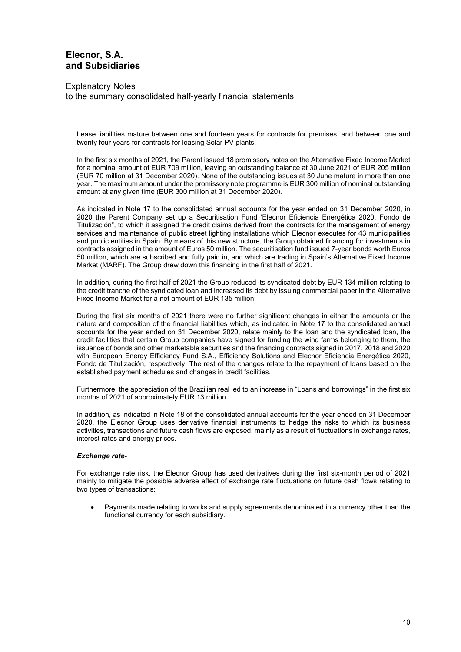### Explanatory Notes to the summary consolidated half-yearly financial statements

Lease liabilities mature between one and fourteen years for contracts for premises, and between one and twenty four years for contracts for leasing Solar PV plants.

In the first six months of 2021, the Parent issued 18 promissory notes on the Alternative Fixed Income Market for a nominal amount of EUR 709 million, leaving an outstanding balance at 30 June 2021 of EUR 205 million (EUR 70 million at 31 December 2020). None of the outstanding issues at 30 June mature in more than one year. The maximum amount under the promissory note programme is EUR 300 million of nominal outstanding amount at any given time (EUR 300 million at 31 December 2020).

As indicated in Note 17 to the consolidated annual accounts for the year ended on 31 December 2020, in 2020 the Parent Company set up a Securitisation Fund 'Elecnor Eficiencia Energética 2020, Fondo de Titulización", to which it assigned the credit claims derived from the contracts for the management of energy services and maintenance of public street lighting installations which Elecnor executes for 43 municipalities and public entities in Spain. By means of this new structure, the Group obtained financing for investments in contracts assigned in the amount of Euros 50 million. The securitisation fund issued 7-year bonds worth Euros 50 million, which are subscribed and fully paid in, and which are trading in Spain's Alternative Fixed Income Market (MARF). The Group drew down this financing in the first half of 2021.

In addition, during the first half of 2021 the Group reduced its syndicated debt by EUR 134 million relating to the credit tranche of the syndicated loan and increased its debt by issuing commercial paper in the Alternative Fixed Income Market for a net amount of EUR 135 million.

During the first six months of 2021 there were no further significant changes in either the amounts or the nature and composition of the financial liabilities which, as indicated in Note 17 to the consolidated annual accounts for the year ended on 31 December 2020, relate mainly to the loan and the syndicated loan, the credit facilities that certain Group companies have signed for funding the wind farms belonging to them, the issuance of bonds and other marketable securities and the financing contracts signed in 2017, 2018 and 2020 with European Energy Efficiency Fund S.A., Efficiency Solutions and Elecnor Eficiencia Energética 2020, Fondo de Titulización, respectively. The rest of the changes relate to the repayment of loans based on the established payment schedules and changes in credit facilities.

Furthermore, the appreciation of the Brazilian real led to an increase in "Loans and borrowings" in the first six months of 2021 of approximately EUR 13 million.

In addition, as indicated in Note 18 of the consolidated annual accounts for the year ended on 31 December 2020, the Elecnor Group uses derivative financial instruments to hedge the risks to which its business activities, transactions and future cash flows are exposed, mainly as a result of fluctuations in exchange rates, interest rates and energy prices.

#### *Exchange rate-*

For exchange rate risk, the Elecnor Group has used derivatives during the first six-month period of 2021 mainly to mitigate the possible adverse effect of exchange rate fluctuations on future cash flows relating to two types of transactions:

 Payments made relating to works and supply agreements denominated in a currency other than the functional currency for each subsidiary.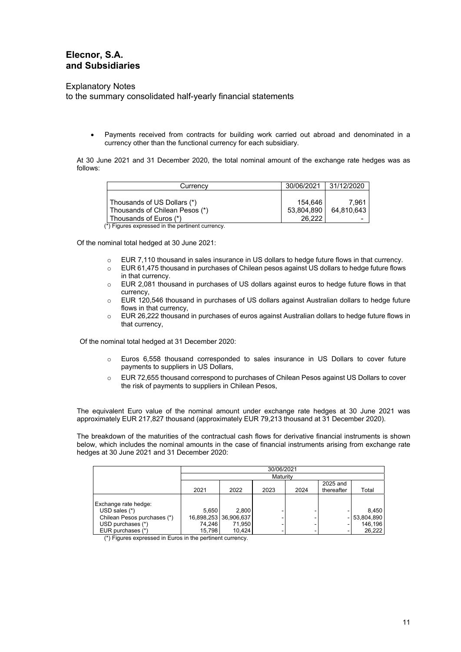Explanatory Notes

to the summary consolidated half-yearly financial statements

 Payments received from contracts for building work carried out abroad and denominated in a currency other than the functional currency for each subsidiary.

At 30 June 2021 and 31 December 2020, the total nominal amount of the exchange rate hedges was as follows:

| Currency                                         | 30/06/2021 | 31/12/2020 |
|--------------------------------------------------|------------|------------|
|                                                  |            |            |
| Thousands of US Dollars (*)                      | 154.646    | 7.961      |
| Thousands of Chilean Pesos (*)                   | 53,804,890 | 64.810.643 |
| Thousands of Euros (*)                           | 26.222     |            |
| (*) Figures expressed in the pertinent currency. |            |            |

Of the nominal total hedged at 30 June 2021:

- o EUR 7,110 thousand in sales insurance in US dollars to hedge future flows in that currency.
- $\circ$  EUR 61,475 thousand in purchases of Chilean pesos against US dollars to hedge future flows in that currency.
- o EUR 2,081 thousand in purchases of US dollars against euros to hedge future flows in that currency,
- o EUR 120,546 thousand in purchases of US dollars against Australian dollars to hedge future flows in that currency,
- o EUR 26,222 thousand in purchases of euros against Australian dollars to hedge future flows in that currency,

Of the nominal total hedged at 31 December 2020:

- o Euros 6,558 thousand corresponded to sales insurance in US Dollars to cover future payments to suppliers in US Dollars,
- o EUR 72,655 thousand correspond to purchases of Chilean Pesos against US Dollars to cover the risk of payments to suppliers in Chilean Pesos,

The equivalent Euro value of the nominal amount under exchange rate hedges at 30 June 2021 was approximately EUR 217,827 thousand (approximately EUR 79,213 thousand at 31 December 2020).

The breakdown of the maturities of the contractual cash flows for derivative financial instruments is shown below, which includes the nominal amounts in the case of financial instruments arising from exchange rate hedges at 30 June 2021 and 31 December 2020:

|                             | 30/06/2021 |                       |          |      |            |            |
|-----------------------------|------------|-----------------------|----------|------|------------|------------|
|                             |            |                       | Maturity |      |            |            |
|                             |            |                       |          |      | 2025 and   |            |
|                             | 2021       | 2022                  | 2023     | 2024 | thereafter | Total      |
|                             |            |                       |          |      |            |            |
| Exchange rate hedge:        |            |                       |          |      |            |            |
| $USD$ sales $(*)$           | 5,650      | 2.800                 |          |      |            | 8,450      |
| Chilean Pesos purchases (*) |            | 16,898,253 36,906,637 |          |      |            | 53,804,890 |
| USD purchases (*)           | 74,246     | 71,950                |          |      |            | 146,196    |
| EUR purchases (*)           | 15,798     | 10,424                |          |      |            | 26,222     |

(\*) Figures expressed in Euros in the pertinent currency.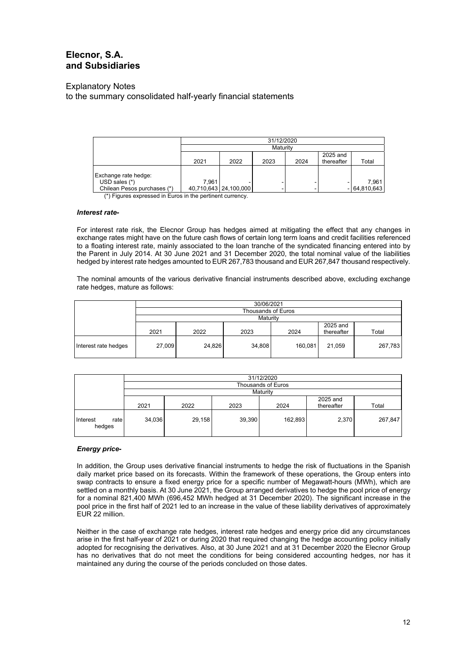Explanatory Notes

to the summary consolidated half-yearly financial statements

| 31/12/2020 |      |      |                         |            |                |
|------------|------|------|-------------------------|------------|----------------|
|            |      |      |                         |            |                |
|            |      |      |                         | 2025 and   |                |
| 2021       | 2022 | 2023 | 2024                    | thereafter | Total          |
|            |      |      |                         |            |                |
|            |      |      |                         |            |                |
| 7.961      |      |      |                         |            | 7.961          |
|            |      |      |                         |            | $-$ 64,810,643 |
|            |      |      | 40,710,643   24,100,000 | Maturity   |                |

(\*) Figures expressed in Euros in the pertinent currency.

#### *Interest rate-*

For interest rate risk, the Elecnor Group has hedges aimed at mitigating the effect that any changes in exchange rates might have on the future cash flows of certain long term loans and credit facilities referenced to a floating interest rate, mainly associated to the loan tranche of the syndicated financing entered into by the Parent in July 2014. At 30 June 2021 and 31 December 2020, the total nominal value of the liabilities hedged by interest rate hedges amounted to EUR 267,783 thousand and EUR 267,847 thousand respectively.

The nominal amounts of the various derivative financial instruments described above, excluding exchange rate hedges, mature as follows:

|                      | 30/06/2021 |                    |          |         |                        |         |  |  |
|----------------------|------------|--------------------|----------|---------|------------------------|---------|--|--|
|                      |            | Thousands of Euros |          |         |                        |         |  |  |
|                      |            |                    | Maturity |         |                        |         |  |  |
|                      | 2021       | 2022               | 2023     | 2024    | 2025 and<br>thereafter | Total   |  |  |
| Interest rate hedges | 27,009     | 24,826             | 34,808   | 160,081 | 21,059                 | 267,783 |  |  |

|                            | 31/12/2020 |        |        |                    |                        |         |
|----------------------------|------------|--------|--------|--------------------|------------------------|---------|
|                            |            |        |        | Thousands of Euros |                        |         |
|                            |            |        |        | Maturity           |                        |         |
|                            | 2021       | 2022   | 2023   | 2024               | 2025 and<br>thereafter | Total   |
| Interest<br>rate<br>hedges | 34,036     | 29,158 | 39,390 | 162,893            | 2,370                  | 267,847 |

#### *Energy price-*

In addition, the Group uses derivative financial instruments to hedge the risk of fluctuations in the Spanish daily market price based on its forecasts. Within the framework of these operations, the Group enters into swap contracts to ensure a fixed energy price for a specific number of Megawatt-hours (MWh), which are settled on a monthly basis. At 30 June 2021, the Group arranged derivatives to hedge the pool price of energy for a nominal 821,400 MWh (696,452 MWh hedged at 31 December 2020). The significant increase in the pool price in the first half of 2021 led to an increase in the value of these liability derivatives of approximately EUR 22 million.

Neither in the case of exchange rate hedges, interest rate hedges and energy price did any circumstances arise in the first half-year of 2021 or during 2020 that required changing the hedge accounting policy initially adopted for recognising the derivatives. Also, at 30 June 2021 and at 31 December 2020 the Elecnor Group has no derivatives that do not meet the conditions for being considered accounting hedges, nor has it maintained any during the course of the periods concluded on those dates.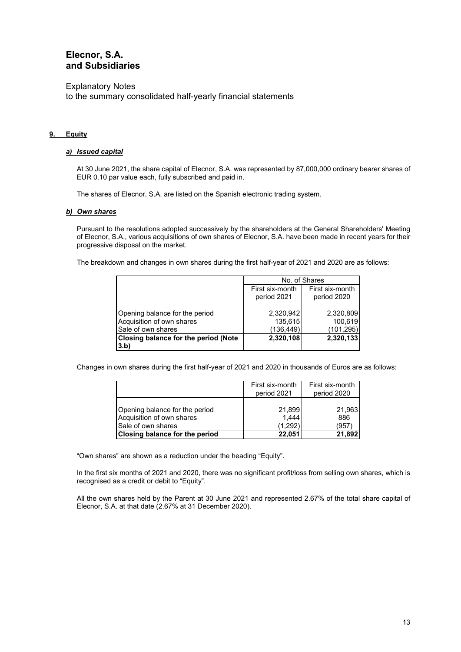Explanatory Notes to the summary consolidated half-yearly financial statements

#### **9. Equity**

#### *a) Issued capital*

At 30 June 2021, the share capital of Elecnor, S.A. was represented by 87,000,000 ordinary bearer shares of EUR 0.10 par value each, fully subscribed and paid in.

The shares of Elecnor, S.A. are listed on the Spanish electronic trading system.

#### *b) Own shares*

Pursuant to the resolutions adopted successively by the shareholders at the General Shareholders' Meeting of Elecnor, S.A., various acquisitions of own shares of Elecnor, S.A. have been made in recent years for their progressive disposal on the market.

The breakdown and changes in own shares during the first half-year of 2021 and 2020 are as follows:

|                                      | No. of Shares                      |             |  |
|--------------------------------------|------------------------------------|-------------|--|
|                                      | First six-month<br>First six-month |             |  |
|                                      | period 2021                        | period 2020 |  |
|                                      |                                    |             |  |
| Opening balance for the period       | 2,320,942                          | 2,320,809   |  |
| Acquisition of own shares            | 135,615                            | 100,619     |  |
| Sale of own shares                   | (136, 449)                         | (101, 295)  |  |
| Closing balance for the period (Note | 2,320,108                          | 2,320,133   |  |
| 3.b)                                 |                                    |             |  |

Changes in own shares during the first half-year of 2021 and 2020 in thousands of Euros are as follows:

|                                                                                   | First six-month<br>period 2021 | First six-month<br>period 2020 |
|-----------------------------------------------------------------------------------|--------------------------------|--------------------------------|
| Opening balance for the period<br>Acquisition of own shares<br>Sale of own shares | 21,899<br>1.444<br>(1.292)     | 21,963<br>886<br>(957          |
| <b>Closing balance for the period</b>                                             | 22.051                         | 21,892                         |

"Own shares" are shown as a reduction under the heading "Equity".

In the first six months of 2021 and 2020, there was no significant profit/loss from selling own shares, which is recognised as a credit or debit to "Equity".

All the own shares held by the Parent at 30 June 2021 and represented 2.67% of the total share capital of Elecnor, S.A. at that date (2.67% at 31 December 2020).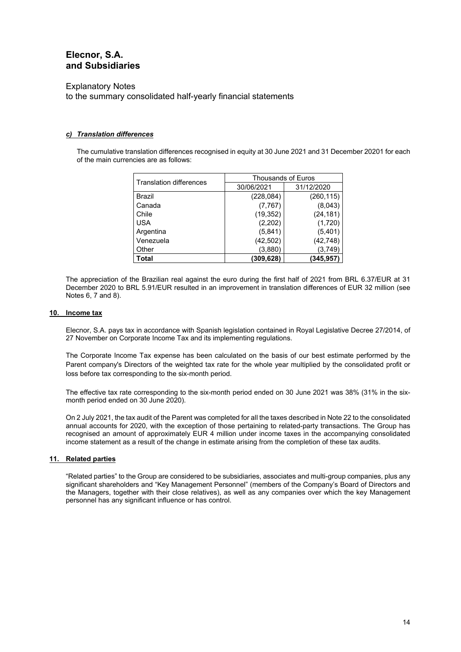Explanatory Notes

to the summary consolidated half-yearly financial statements

#### *c) Translation differences*

The cumulative translation differences recognised in equity at 30 June 2021 and 31 December 20201 for each of the main currencies are as follows:

| Translation differences | <b>Thousands of Euros</b> |            |  |
|-------------------------|---------------------------|------------|--|
|                         | 30/06/2021                | 31/12/2020 |  |
| Brazil                  | (228, 084)                | (260, 115) |  |
| Canada                  | (7, 767)                  | (8,043)    |  |
| Chile                   | (19, 352)                 | (24, 181)  |  |
| <b>USA</b>              | (2,202)                   | (1,720)    |  |
| Argentina               | (5,841)                   | (5,401)    |  |
| Venezuela               | (42, 502)                 | (42, 748)  |  |
| Other                   | (3,880)                   | (3,749)    |  |
| Total                   | (309,628)                 | (345, 957) |  |

The appreciation of the Brazilian real against the euro during the first half of 2021 from BRL 6.37/EUR at 31 December 2020 to BRL 5.91/EUR resulted in an improvement in translation differences of EUR 32 million (see Notes 6, 7 and 8).

#### **10. Income tax**

Elecnor, S.A. pays tax in accordance with Spanish legislation contained in Royal Legislative Decree 27/2014, of 27 November on Corporate Income Tax and its implementing regulations.

The Corporate Income Tax expense has been calculated on the basis of our best estimate performed by the Parent company's Directors of the weighted tax rate for the whole year multiplied by the consolidated profit or loss before tax corresponding to the six-month period.

The effective tax rate corresponding to the six-month period ended on 30 June 2021 was 38% (31% in the sixmonth period ended on 30 June 2020).

On 2 July 2021, the tax audit of the Parent was completed for all the taxes described in Note 22 to the consolidated annual accounts for 2020, with the exception of those pertaining to related-party transactions. The Group has recognised an amount of approximately EUR 4 million under income taxes in the accompanying consolidated income statement as a result of the change in estimate arising from the completion of these tax audits.

#### **11. Related parties**

"Related parties" to the Group are considered to be subsidiaries, associates and multi-group companies, plus any significant shareholders and "Key Management Personnel" (members of the Company's Board of Directors and the Managers, together with their close relatives), as well as any companies over which the key Management personnel has any significant influence or has control.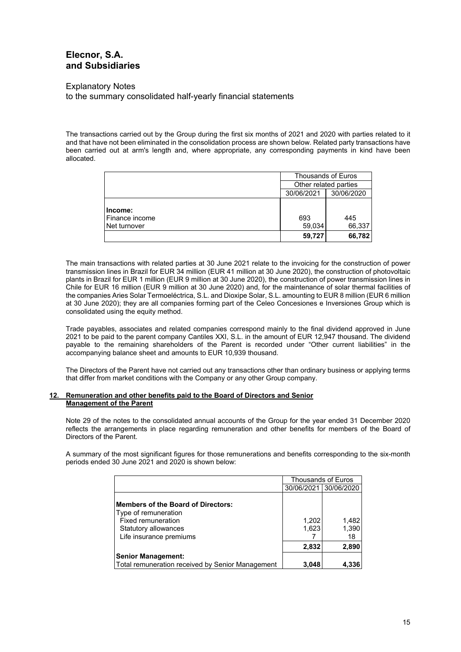Explanatory Notes to the summary consolidated half-yearly financial statements

The transactions carried out by the Group during the first six months of 2021 and 2020 with parties related to it and that have not been eliminated in the consolidation process are shown below. Related party transactions have been carried out at arm's length and, where appropriate, any corresponding payments in kind have been allocated.

|                                              | <b>Thousands of Euros</b><br>Other related parties<br>30/06/2021<br>30/06/2020 |               |  |
|----------------------------------------------|--------------------------------------------------------------------------------|---------------|--|
|                                              |                                                                                |               |  |
|                                              |                                                                                |               |  |
| lncome:<br>l Finance income<br>INet turnover | 693<br>59,034                                                                  | 445<br>66,337 |  |
|                                              | 59,727                                                                         | 66,782        |  |

The main transactions with related parties at 30 June 2021 relate to the invoicing for the construction of power transmission lines in Brazil for EUR 34 million (EUR 41 million at 30 June 2020), the construction of photovoltaic plants in Brazil for EUR 1 million (EUR 9 million at 30 June 2020), the construction of power transmission lines in Chile for EUR 16 million (EUR 9 million at 30 June 2020) and, for the maintenance of solar thermal facilities of the companies Aries Solar Termoeléctrica, S.L. and Dioxipe Solar, S.L. amounting to EUR 8 million (EUR 6 million at 30 June 2020); they are all companies forming part of the Celeo Concesiones e Inversiones Group which is consolidated using the equity method.

Trade payables, associates and related companies correspond mainly to the final dividend approved in June 2021 to be paid to the parent company Cantiles XXI, S.L. in the amount of EUR 12,947 thousand. The dividend payable to the remaining shareholders of the Parent is recorded under "Other current liabilities" in the accompanying balance sheet and amounts to EUR 10,939 thousand.

The Directors of the Parent have not carried out any transactions other than ordinary business or applying terms that differ from market conditions with the Company or any other Group company.

#### **12. Remuneration and other benefits paid to the Board of Directors and Senior Management of the Parent**

Note 29 of the notes to the consolidated annual accounts of the Group for the year ended 31 December 2020 reflects the arrangements in place regarding remuneration and other benefits for members of the Board of Directors of the Parent.

A summary of the most significant figures for those remunerations and benefits corresponding to the six-month periods ended 30 June 2021 and 2020 is shown below:

|                                                                                                                                                   | <b>Thousands of Euros</b> |                       |
|---------------------------------------------------------------------------------------------------------------------------------------------------|---------------------------|-----------------------|
|                                                                                                                                                   |                           | 30/06/2021 30/06/2020 |
| <b>Members of the Board of Directors:</b><br>Type of remuneration<br><b>Fixed remuneration</b><br>Statutory allowances<br>Life insurance premiums | 1,202<br>1,623            | 1,482<br>1,390<br>18  |
|                                                                                                                                                   | 2,832                     | 2,890                 |
| <b>Senior Management:</b>                                                                                                                         |                           |                       |
| Total remuneration received by Senior Management                                                                                                  | 3,048                     | 4.336                 |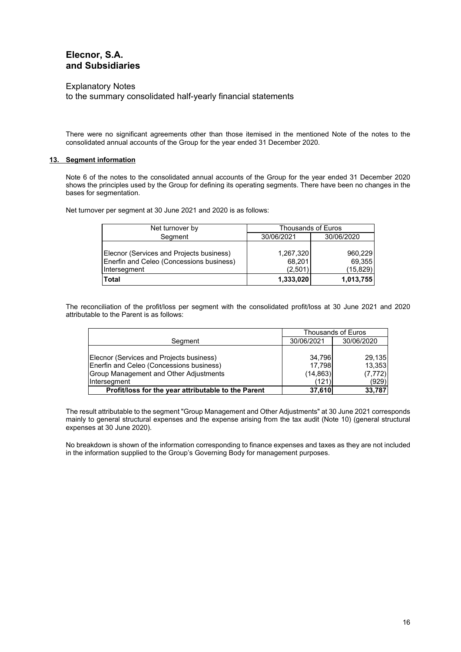Explanatory Notes

to the summary consolidated half-yearly financial statements

There were no significant agreements other than those itemised in the mentioned Note of the notes to the consolidated annual accounts of the Group for the year ended 31 December 2020.

### **13. Segment information**

Note 6 of the notes to the consolidated annual accounts of the Group for the year ended 31 December 2020 shows the principles used by the Group for defining its operating segments. There have been no changes in the bases for segmentation.

Net turnover per segment at 30 June 2021 and 2020 is as follows:

| Net turnover by                                                                      | <b>Thousands of Euros</b> |                   |  |
|--------------------------------------------------------------------------------------|---------------------------|-------------------|--|
| Segment                                                                              | 30/06/2021                | 30/06/2020        |  |
| Elecnor (Services and Projects business)<br>Enerfin and Celeo (Concessions business) | 1,267,320<br>68,201       | 960.229<br>69,355 |  |
| Intersegment                                                                         | (2,501)                   | (15, 829)         |  |
| Total                                                                                | 1,333,020                 | 1,013,755         |  |

The reconciliation of the profit/loss per segment with the consolidated profit/loss at 30 June 2021 and 2020 attributable to the Parent is as follows:

|                                                     | Thousands of Euros |            |
|-----------------------------------------------------|--------------------|------------|
| Segment                                             | 30/06/2021         | 30/06/2020 |
|                                                     |                    |            |
| Elecnor (Services and Projects business)            | 34.796             | 29,135     |
| Enerfin and Celeo (Concessions business)            | 17.798             | 13,353     |
| Group Management and Other Adjustments              | (14, 863)          | (7, 772)   |
| Intersegment                                        | (121               | (929)      |
| Profit/loss for the year attributable to the Parent | 37.610             | 33,787     |

The result attributable to the segment "Group Management and Other Adjustments" at 30 June 2021 corresponds mainly to general structural expenses and the expense arising from the tax audit (Note 10) (general structural expenses at 30 June 2020).

No breakdown is shown of the information corresponding to finance expenses and taxes as they are not included in the information supplied to the Group's Governing Body for management purposes.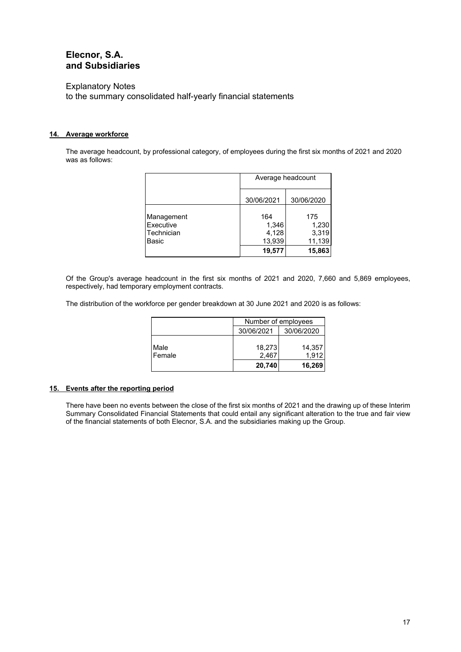#### Explanatory Notes

to the summary consolidated half-yearly financial statements

### **14. Average workforce**

The average headcount, by professional category, of employees during the first six months of 2021 and 2020 was as follows:

|                                                | Average headcount                         |                                           |  |
|------------------------------------------------|-------------------------------------------|-------------------------------------------|--|
|                                                | 30/06/2021                                | 30/06/2020                                |  |
| Management<br>Executive<br>Technician<br>Basic | 164<br>1,346<br>4,128<br>13,939<br>19,577 | 175<br>1,230<br>3,319<br>11,139<br>15,863 |  |

Of the Group's average headcount in the first six months of 2021 and 2020, 7,660 and 5,869 employees, respectively, had temporary employment contracts.

The distribution of the workforce per gender breakdown at 30 June 2021 and 2020 is as follows:

|                | Number of employees<br>30/06/2021<br>30/06/2020 |                 |  |
|----------------|-------------------------------------------------|-----------------|--|
|                |                                                 |                 |  |
| Male<br>Female | 18,273<br>2,467                                 | 14,357<br>1.912 |  |
|                | 20,740                                          | 16,269          |  |

#### **15. Events after the reporting period**

There have been no events between the close of the first six months of 2021 and the drawing up of these Interim Summary Consolidated Financial Statements that could entail any significant alteration to the true and fair view of the financial statements of both Elecnor, S.A. and the subsidiaries making up the Group.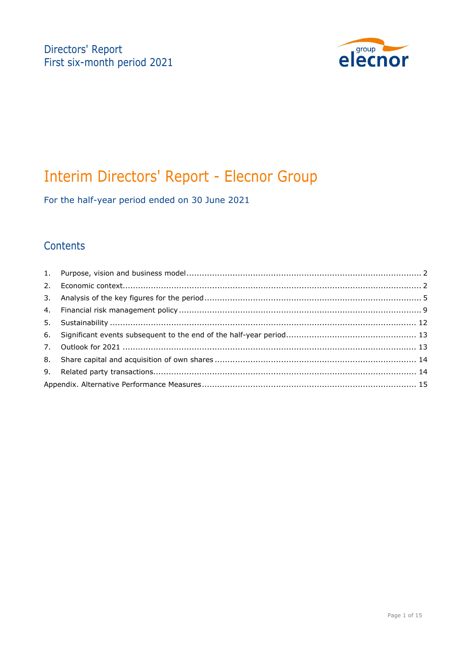

# Interim Directors' Report - Elecnor Group

For the half-year period ended on 30 June 2021

### **Contents**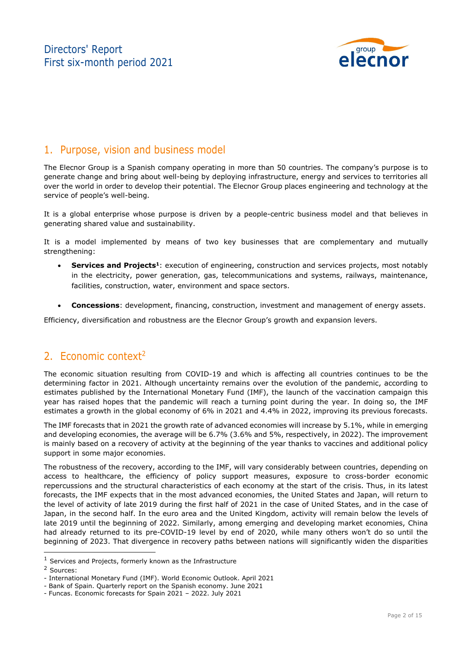

### 1. Purpose, vision and business model

The Elecnor Group is a Spanish company operating in more than 50 countries. The company's purpose is to generate change and bring about well-being by deploying infrastructure, energy and services to territories all over the world in order to develop their potential. The Elecnor Group places engineering and technology at the service of people's well-being.

It is a global enterprise whose purpose is driven by a people-centric business model and that believes in generating shared value and sustainability.

It is a model implemented by means of two key businesses that are complementary and mutually strengthening:

- **Services and Projects<sup>1</sup>**: execution of engineering, construction and services projects, most notably in the electricity, power generation, gas, telecommunications and systems, railways, maintenance, facilities, construction, water, environment and space sectors.
- **Concessions**: development, financing, construction, investment and management of energy assets.

Efficiency, diversification and robustness are the Elecnor Group's growth and expansion levers.

### 2. Economic context<sup>2</sup>

The economic situation resulting from COVID-19 and which is affecting all countries continues to be the determining factor in 2021. Although uncertainty remains over the evolution of the pandemic, according to estimates published by the International Monetary Fund (IMF), the launch of the vaccination campaign this year has raised hopes that the pandemic will reach a turning point during the year. In doing so, the IMF estimates a growth in the global economy of 6% in 2021 and 4.4% in 2022, improving its previous forecasts.

The IMF forecasts that in 2021 the growth rate of advanced economies will increase by 5.1%, while in emerging and developing economies, the average will be 6.7% (3.6% and 5%, respectively, in 2022). The improvement is mainly based on a recovery of activity at the beginning of the year thanks to vaccines and additional policy support in some major economies.

The robustness of the recovery, according to the IMF, will vary considerably between countries, depending on access to healthcare, the efficiency of policy support measures, exposure to cross-border economic repercussions and the structural characteristics of each economy at the start of the crisis. Thus, in its latest forecasts, the IMF expects that in the most advanced economies, the United States and Japan, will return to the level of activity of late 2019 during the first half of 2021 in the case of United States, and in the case of Japan, in the second half. In the euro area and the United Kingdom, activity will remain below the levels of late 2019 until the beginning of 2022. Similarly, among emerging and developing market economies, China had already returned to its pre-COVID-19 level by end of 2020, while many others won't do so until the beginning of 2023. That divergence in recovery paths between nations will significantly widen the disparities

ł

 $1$  Services and Projects, formerly known as the Infrastructure

<sup>2</sup> Sources:

<sup>-</sup> International Monetary Fund (IMF). World Economic Outlook. April 2021

<sup>-</sup> Bank of Spain. Quarterly report on the Spanish economy. June 2021

<sup>-</sup> Funcas. Economic forecasts for Spain 2021 – 2022. July 2021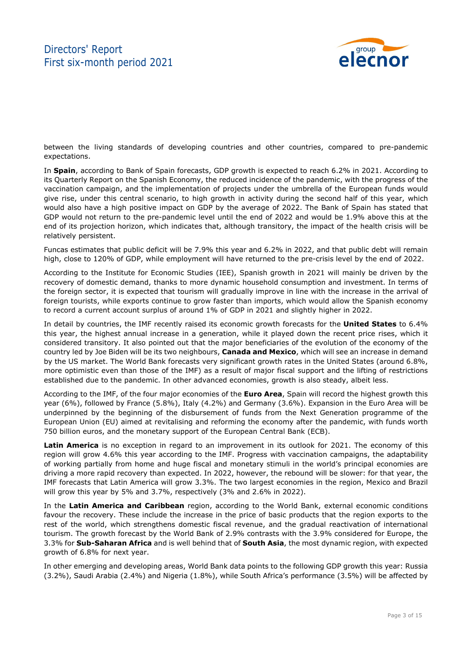

between the living standards of developing countries and other countries, compared to pre-pandemic expectations.

In **Spain**, according to Bank of Spain forecasts, GDP growth is expected to reach 6.2% in 2021. According to its Quarterly Report on the Spanish Economy, the reduced incidence of the pandemic, with the progress of the vaccination campaign, and the implementation of projects under the umbrella of the European funds would give rise, under this central scenario, to high growth in activity during the second half of this year, which would also have a high positive impact on GDP by the average of 2022. The Bank of Spain has stated that GDP would not return to the pre-pandemic level until the end of 2022 and would be 1.9% above this at the end of its projection horizon, which indicates that, although transitory, the impact of the health crisis will be relatively persistent.

Funcas estimates that public deficit will be 7.9% this year and 6.2% in 2022, and that public debt will remain high, close to 120% of GDP, while employment will have returned to the pre-crisis level by the end of 2022.

According to the Institute for Economic Studies (IEE), Spanish growth in 2021 will mainly be driven by the recovery of domestic demand, thanks to more dynamic household consumption and investment. In terms of the foreign sector, it is expected that tourism will gradually improve in line with the increase in the arrival of foreign tourists, while exports continue to grow faster than imports, which would allow the Spanish economy to record a current account surplus of around 1% of GDP in 2021 and slightly higher in 2022.

In detail by countries, the IMF recently raised its economic growth forecasts for the **United States** to 6.4% this year, the highest annual increase in a generation, while it played down the recent price rises, which it considered transitory. It also pointed out that the major beneficiaries of the evolution of the economy of the country led by Joe Biden will be its two neighbours, **Canada and Mexico**, which will see an increase in demand by the US market. The World Bank forecasts very significant growth rates in the United States (around 6.8%, more optimistic even than those of the IMF) as a result of major fiscal support and the lifting of restrictions established due to the pandemic. In other advanced economies, growth is also steady, albeit less.

According to the IMF, of the four major economies of the **Euro Area**, Spain will record the highest growth this year (6%), followed by France (5.8%), Italy (4.2%) and Germany (3.6%). Expansion in the Euro Area will be underpinned by the beginning of the disbursement of funds from the Next Generation programme of the European Union (EU) aimed at revitalising and reforming the economy after the pandemic, with funds worth 750 billion euros, and the monetary support of the European Central Bank (ECB).

**Latin America** is no exception in regard to an improvement in its outlook for 2021. The economy of this region will grow 4.6% this year according to the IMF. Progress with vaccination campaigns, the adaptability of working partially from home and huge fiscal and monetary stimuli in the world's principal economies are driving a more rapid recovery than expected. In 2022, however, the rebound will be slower: for that year, the IMF forecasts that Latin America will grow 3.3%. The two largest economies in the region, Mexico and Brazil will grow this year by 5% and 3.7%, respectively (3% and 2.6% in 2022).

In the **Latin America and Caribbean** region, according to the World Bank, external economic conditions favour the recovery. These include the increase in the price of basic products that the region exports to the rest of the world, which strengthens domestic fiscal revenue, and the gradual reactivation of international tourism. The growth forecast by the World Bank of 2.9% contrasts with the 3.9% considered for Europe, the 3.3% for **Sub-Saharan Africa** and is well behind that of **South Asia**, the most dynamic region, with expected growth of 6.8% for next year.

In other emerging and developing areas, World Bank data points to the following GDP growth this year: Russia (3.2%), Saudi Arabia (2.4%) and Nigeria (1.8%), while South Africa's performance (3.5%) will be affected by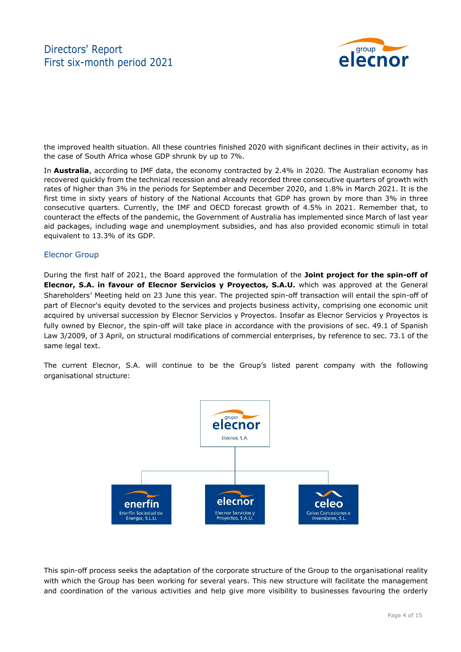

the improved health situation. All these countries finished 2020 with significant declines in their activity, as in the case of South Africa whose GDP shrunk by up to 7%.

In **Australia**, according to IMF data, the economy contracted by 2.4% in 2020. The Australian economy has recovered quickly from the technical recession and already recorded three consecutive quarters of growth with rates of higher than 3% in the periods for September and December 2020, and 1.8% in March 2021. It is the first time in sixty years of history of the National Accounts that GDP has grown by more than 3% in three consecutive quarters. Currently, the IMF and OECD forecast growth of 4.5% in 2021. Remember that, to counteract the effects of the pandemic, the Government of Australia has implemented since March of last year aid packages, including wage and unemployment subsidies, and has also provided economic stimuli in total equivalent to 13.3% of its GDP.

#### Elecnor Group

During the first half of 2021, the Board approved the formulation of the **Joint project for the spin-off of Elecnor, S.A. in favour of Elecnor Servicios y Proyectos, S.A.U.** which was approved at the General Shareholders' Meeting held on 23 June this year. The projected spin-off transaction will entail the spin-off of part of Elecnor's equity devoted to the services and projects business activity, comprising one economic unit acquired by universal succession by Elecnor Servicios y Proyectos. Insofar as Elecnor Servicios y Proyectos is fully owned by Elecnor, the spin-off will take place in accordance with the provisions of sec. 49.1 of Spanish Law 3/2009, of 3 April, on structural modifications of commercial enterprises, by reference to sec. 73.1 of the same legal text.

The current Elecnor, S.A. will continue to be the Group's listed parent company with the following organisational structure:



This spin-off process seeks the adaptation of the corporate structure of the Group to the organisational reality with which the Group has been working for several years. This new structure will facilitate the management and coordination of the various activities and help give more visibility to businesses favouring the orderly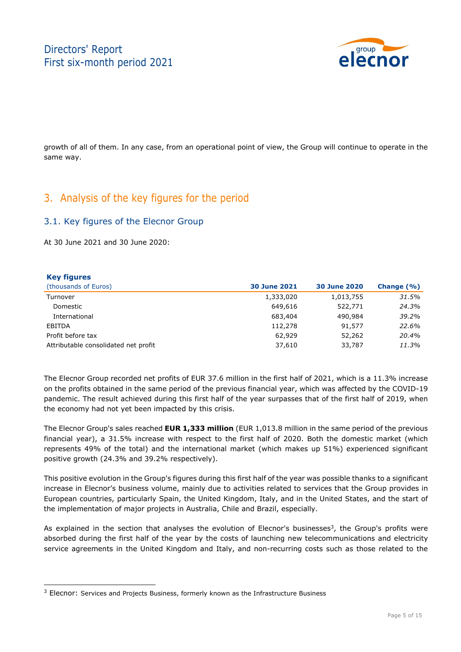

growth of all of them. In any case, from an operational point of view, the Group will continue to operate in the same way.

### 3. Analysis of the key figures for the period

### 3.1. Key figures of the Elecnor Group

At 30 June 2021 and 30 June 2020:

ł

| <b>Key figures</b>                   |                     |                     |               |
|--------------------------------------|---------------------|---------------------|---------------|
| (thousands of Euros)                 | <b>30 June 2021</b> | <b>30 June 2020</b> | Change $(% )$ |
| Turnover                             | 1,333,020           | 1,013,755           | 31.5%         |
| Domestic                             | 649,616             | 522,771             | 24.3%         |
| International                        | 683,404             | 490,984             | 39.2%         |
| EBITDA                               | 112,278             | 91,577              | 22.6%         |
| Profit before tax                    | 62,929              | 52,262              | 20.4%         |
| Attributable consolidated net profit | 37,610              | 33,787              | 11.3%         |

The Elecnor Group recorded net profits of EUR 37.6 million in the first half of 2021, which is a 11.3% increase on the profits obtained in the same period of the previous financial year, which was affected by the COVID-19 pandemic. The result achieved during this first half of the year surpasses that of the first half of 2019, when the economy had not yet been impacted by this crisis.

The Elecnor Group's sales reached **EUR 1,333 million** (EUR 1,013.8 million in the same period of the previous financial year), a 31.5% increase with respect to the first half of 2020. Both the domestic market (which represents 49% of the total) and the international market (which makes up 51%) experienced significant positive growth (24.3% and 39.2% respectively).

This positive evolution in the Group's figures during this first half of the year was possible thanks to a significant increase in Elecnor's business volume, mainly due to activities related to services that the Group provides in European countries, particularly Spain, the United Kingdom, Italy, and in the United States, and the start of the implementation of major projects in Australia, Chile and Brazil, especially.

As explained in the section that analyses the evolution of Elecnor's businesses<sup>3</sup>, the Group's profits were absorbed during the first half of the year by the costs of launching new telecommunications and electricity service agreements in the United Kingdom and Italy, and non-recurring costs such as those related to the

 $3$  Elecnor: Services and Projects Business, formerly known as the Infrastructure Business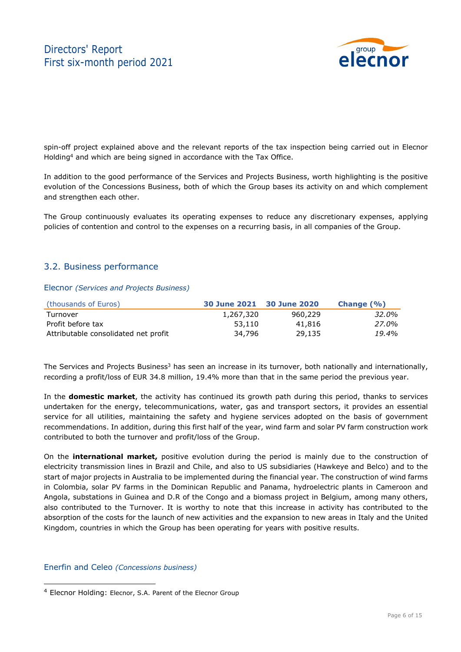

spin-off project explained above and the relevant reports of the tax inspection being carried out in Elecnor Holding4 and which are being signed in accordance with the Tax Office.

In addition to the good performance of the Services and Projects Business, worth highlighting is the positive evolution of the Concessions Business, both of which the Group bases its activity on and which complement and strengthen each other.

The Group continuously evaluates its operating expenses to reduce any discretionary expenses, applying policies of contention and control to the expenses on a recurring basis, in all companies of the Group.

### 3.2. Business performance

#### Elecnor *(Services and Projects Business)*

| (thousands of Euros)                 | 30 June 2021 30 June 2020 |         | Change $(\% )$ |
|--------------------------------------|---------------------------|---------|----------------|
| Turnover                             | 1,267,320                 | 960,229 | 32.0%          |
| Profit before tax                    | 53,110                    | 41,816  | 27.0%          |
| Attributable consolidated net profit | 34,796                    | 29,135  | 19.4%          |

The Services and Projects Business<sup>3</sup> has seen an increase in its turnover, both nationally and internationally, recording a profit/loss of EUR 34.8 million, 19.4% more than that in the same period the previous year.

In the **domestic market**, the activity has continued its growth path during this period, thanks to services undertaken for the energy, telecommunications, water, gas and transport sectors, it provides an essential service for all utilities, maintaining the safety and hygiene services adopted on the basis of government recommendations. In addition, during this first half of the year, wind farm and solar PV farm construction work contributed to both the turnover and profit/loss of the Group.

On the **international market,** positive evolution during the period is mainly due to the construction of electricity transmission lines in Brazil and Chile, and also to US subsidiaries (Hawkeye and Belco) and to the start of major projects in Australia to be implemented during the financial year. The construction of wind farms in Colombia, solar PV farms in the Dominican Republic and Panama, hydroelectric plants in Cameroon and Angola, substations in Guinea and D.R of the Congo and a biomass project in Belgium, among many others, also contributed to the Turnover. It is worthy to note that this increase in activity has contributed to the absorption of the costs for the launch of new activities and the expansion to new areas in Italy and the United Kingdom, countries in which the Group has been operating for years with positive results.

### Enerfin and Celeo *(Concessions business)*

ł

<sup>4</sup> Elecnor Holding: Elecnor, S.A. Parent of the Elecnor Group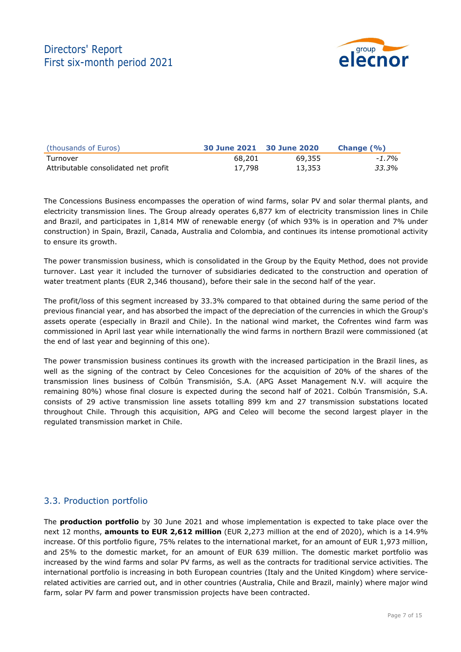

| (thousands of Euros)                 | 30 June 2021 30 June 2020 |        | Change $(\% )$ |
|--------------------------------------|---------------------------|--------|----------------|
| Turnover                             | 68,201                    | 69,355 | $-1.7%$        |
| Attributable consolidated net profit | 17,798                    | 13,353 | 33.3%          |

The Concessions Business encompasses the operation of wind farms, solar PV and solar thermal plants, and electricity transmission lines. The Group already operates 6,877 km of electricity transmission lines in Chile and Brazil, and participates in 1,814 MW of renewable energy (of which 93% is in operation and 7% under construction) in Spain, Brazil, Canada, Australia and Colombia, and continues its intense promotional activity to ensure its growth.

The power transmission business, which is consolidated in the Group by the Equity Method, does not provide turnover. Last year it included the turnover of subsidiaries dedicated to the construction and operation of water treatment plants (EUR 2,346 thousand), before their sale in the second half of the year.

The profit/loss of this segment increased by 33.3% compared to that obtained during the same period of the previous financial year, and has absorbed the impact of the depreciation of the currencies in which the Group's assets operate (especially in Brazil and Chile). In the national wind market, the Cofrentes wind farm was commissioned in April last year while internationally the wind farms in northern Brazil were commissioned (at the end of last year and beginning of this one).

The power transmission business continues its growth with the increased participation in the Brazil lines, as well as the signing of the contract by Celeo Concesiones for the acquisition of 20% of the shares of the transmission lines business of Colbún Transmisión, S.A. (APG Asset Management N.V. will acquire the remaining 80%) whose final closure is expected during the second half of 2021. Colbún Transmisión, S.A. consists of 29 active transmission line assets totalling 899 km and 27 transmission substations located throughout Chile. Through this acquisition, APG and Celeo will become the second largest player in the regulated transmission market in Chile.

### 3.3. Production portfolio

The **production portfolio** by 30 June 2021 and whose implementation is expected to take place over the next 12 months, **amounts to EUR 2,612 million** (EUR 2,273 million at the end of 2020), which is a 14.9% increase. Of this portfolio figure, 75% relates to the international market, for an amount of EUR 1,973 million, and 25% to the domestic market, for an amount of EUR 639 million. The domestic market portfolio was increased by the wind farms and solar PV farms, as well as the contracts for traditional service activities. The international portfolio is increasing in both European countries (Italy and the United Kingdom) where servicerelated activities are carried out, and in other countries (Australia, Chile and Brazil, mainly) where major wind farm, solar PV farm and power transmission projects have been contracted.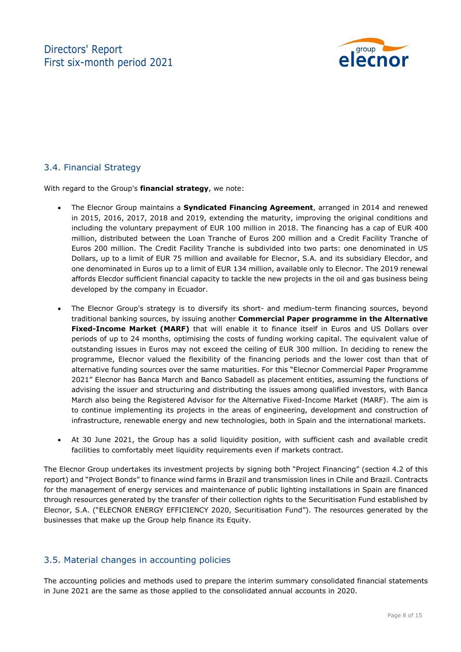

### 3.4. Financial Strategy

With regard to the Group's **financial strategy**, we note:

- The Elecnor Group maintains a **Syndicated Financing Agreement**, arranged in 2014 and renewed in 2015, 2016, 2017, 2018 and 2019, extending the maturity, improving the original conditions and including the voluntary prepayment of EUR 100 million in 2018. The financing has a cap of EUR 400 million, distributed between the Loan Tranche of Euros 200 million and a Credit Facility Tranche of Euros 200 million. The Credit Facility Tranche is subdivided into two parts: one denominated in US Dollars, up to a limit of EUR 75 million and available for Elecnor, S.A. and its subsidiary Elecdor, and one denominated in Euros up to a limit of EUR 134 million, available only to Elecnor. The 2019 renewal affords Elecdor sufficient financial capacity to tackle the new projects in the oil and gas business being developed by the company in Ecuador.
- The Elecnor Group's strategy is to diversify its short- and medium-term financing sources, beyond traditional banking sources, by issuing another **Commercial Paper programme in the Alternative Fixed-Income Market (MARF)** that will enable it to finance itself in Euros and US Dollars over periods of up to 24 months, optimising the costs of funding working capital. The equivalent value of outstanding issues in Euros may not exceed the ceiling of EUR 300 million. In deciding to renew the programme, Elecnor valued the flexibility of the financing periods and the lower cost than that of alternative funding sources over the same maturities. For this "Elecnor Commercial Paper Programme 2021" Elecnor has Banca March and Banco Sabadell as placement entities, assuming the functions of advising the issuer and structuring and distributing the issues among qualified investors, with Banca March also being the Registered Advisor for the Alternative Fixed-Income Market (MARF). The aim is to continue implementing its projects in the areas of engineering, development and construction of infrastructure, renewable energy and new technologies, both in Spain and the international markets.
- At 30 June 2021, the Group has a solid liquidity position, with sufficient cash and available credit facilities to comfortably meet liquidity requirements even if markets contract.

The Elecnor Group undertakes its investment projects by signing both "Project Financing" (section 4.2 of this report) and "Project Bonds" to finance wind farms in Brazil and transmission lines in Chile and Brazil. Contracts for the management of energy services and maintenance of public lighting installations in Spain are financed through resources generated by the transfer of their collection rights to the Securitisation Fund established by Elecnor, S.A. ("ELECNOR ENERGY EFFICIENCY 2020, Securitisation Fund"). The resources generated by the businesses that make up the Group help finance its Equity.

### 3.5. Material changes in accounting policies

The accounting policies and methods used to prepare the interim summary consolidated financial statements in June 2021 are the same as those applied to the consolidated annual accounts in 2020.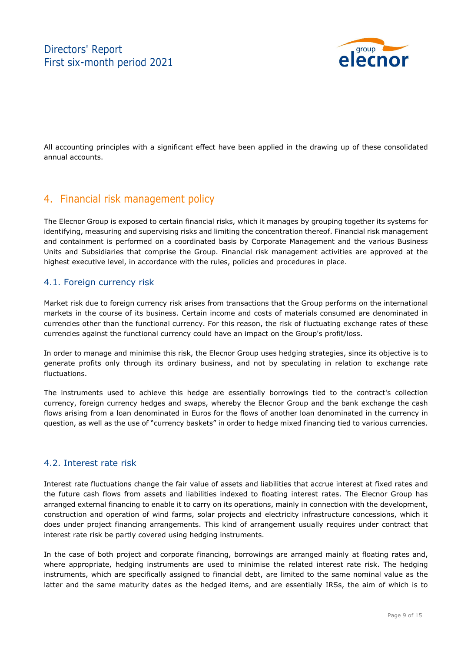

All accounting principles with a significant effect have been applied in the drawing up of these consolidated annual accounts.

### 4. Financial risk management policy

The Elecnor Group is exposed to certain financial risks, which it manages by grouping together its systems for identifying, measuring and supervising risks and limiting the concentration thereof. Financial risk management and containment is performed on a coordinated basis by Corporate Management and the various Business Units and Subsidiaries that comprise the Group. Financial risk management activities are approved at the highest executive level, in accordance with the rules, policies and procedures in place.

### 4.1. Foreign currency risk

Market risk due to foreign currency risk arises from transactions that the Group performs on the international markets in the course of its business. Certain income and costs of materials consumed are denominated in currencies other than the functional currency. For this reason, the risk of fluctuating exchange rates of these currencies against the functional currency could have an impact on the Group's profit/loss.

In order to manage and minimise this risk, the Elecnor Group uses hedging strategies, since its objective is to generate profits only through its ordinary business, and not by speculating in relation to exchange rate fluctuations.

The instruments used to achieve this hedge are essentially borrowings tied to the contract's collection currency, foreign currency hedges and swaps, whereby the Elecnor Group and the bank exchange the cash flows arising from a loan denominated in Euros for the flows of another loan denominated in the currency in question, as well as the use of "currency baskets" in order to hedge mixed financing tied to various currencies.

### 4.2. Interest rate risk

Interest rate fluctuations change the fair value of assets and liabilities that accrue interest at fixed rates and the future cash flows from assets and liabilities indexed to floating interest rates. The Elecnor Group has arranged external financing to enable it to carry on its operations, mainly in connection with the development, construction and operation of wind farms, solar projects and electricity infrastructure concessions, which it does under project financing arrangements. This kind of arrangement usually requires under contract that interest rate risk be partly covered using hedging instruments.

In the case of both project and corporate financing, borrowings are arranged mainly at floating rates and, where appropriate, hedging instruments are used to minimise the related interest rate risk. The hedging instruments, which are specifically assigned to financial debt, are limited to the same nominal value as the latter and the same maturity dates as the hedged items, and are essentially IRSs, the aim of which is to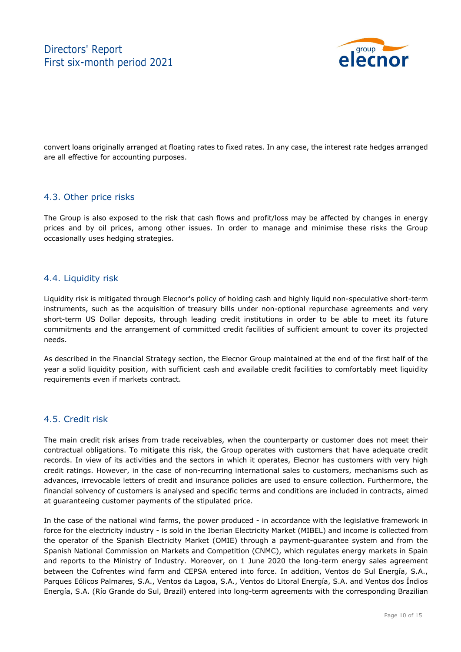

convert loans originally arranged at floating rates to fixed rates. In any case, the interest rate hedges arranged are all effective for accounting purposes.

### 4.3. Other price risks

The Group is also exposed to the risk that cash flows and profit/loss may be affected by changes in energy prices and by oil prices, among other issues. In order to manage and minimise these risks the Group occasionally uses hedging strategies.

### 4.4. Liquidity risk

Liquidity risk is mitigated through Elecnor's policy of holding cash and highly liquid non-speculative short-term instruments, such as the acquisition of treasury bills under non-optional repurchase agreements and very short-term US Dollar deposits, through leading credit institutions in order to be able to meet its future commitments and the arrangement of committed credit facilities of sufficient amount to cover its projected needs.

As described in the Financial Strategy section, the Elecnor Group maintained at the end of the first half of the year a solid liquidity position, with sufficient cash and available credit facilities to comfortably meet liquidity requirements even if markets contract.

### 4.5. Credit risk

The main credit risk arises from trade receivables, when the counterparty or customer does not meet their contractual obligations. To mitigate this risk, the Group operates with customers that have adequate credit records. In view of its activities and the sectors in which it operates, Elecnor has customers with very high credit ratings. However, in the case of non-recurring international sales to customers, mechanisms such as advances, irrevocable letters of credit and insurance policies are used to ensure collection. Furthermore, the financial solvency of customers is analysed and specific terms and conditions are included in contracts, aimed at guaranteeing customer payments of the stipulated price.

In the case of the national wind farms, the power produced - in accordance with the legislative framework in force for the electricity industry - is sold in the Iberian Electricity Market (MIBEL) and income is collected from the operator of the Spanish Electricity Market (OMIE) through a payment-guarantee system and from the Spanish National Commission on Markets and Competition (CNMC), which regulates energy markets in Spain and reports to the Ministry of Industry. Moreover, on 1 June 2020 the long-term energy sales agreement between the Cofrentes wind farm and CEPSA entered into force. In addition, Ventos do Sul Energía, S.A., Parques Eólicos Palmares, S.A., Ventos da Lagoa, S.A., Ventos do Litoral Energía, S.A. and Ventos dos Índios Energía, S.A. (Río Grande do Sul, Brazil) entered into long-term agreements with the corresponding Brazilian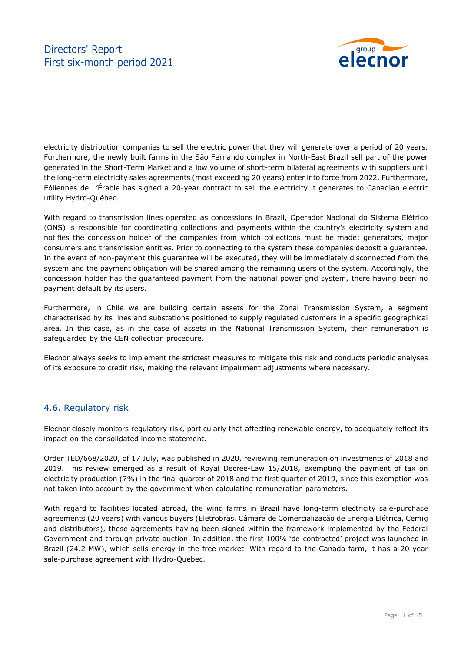### Directors' Report First six-month period 2021



electricity distribution companies to sell the electric power that they will generate over a period of 20 years. Furthermore, the newly built farms in the São Fernando complex in North-East Brazil sell part of the power generated in the Short-Term Market and a low volume of short-term bilateral agreements with suppliers until the long-term electricity sales agreements (most exceeding 20 years) enter into force from 2022. Furthermore, Eóliennes de L'Érable has signed a 20-year contract to sell the electricity it generates to Canadian electric utility Hydro-Québec.

With regard to transmission lines operated as concessions in Brazil, Operador Nacional do Sistema Elétrico (ONS) is responsible for coordinating collections and payments within the country's electricity system and notifies the concession holder of the companies from which collections must be made: generators, major consumers and transmission entities. Prior to connecting to the system these companies deposit a guarantee. In the event of non-payment this guarantee will be executed, they will be immediately disconnected from the system and the payment obligation will be shared among the remaining users of the system. Accordingly, the concession holder has the guaranteed payment from the national power grid system, there having been no payment default by its users.

Furthermore, in Chile we are building certain assets for the Zonal Transmission System, a segment characterised by its lines and substations positioned to supply regulated customers in a specific geographical area. In this case, as in the case of assets in the National Transmission System, their remuneration is safeguarded by the CEN collection procedure.

Elecnor always seeks to implement the strictest measures to mitigate this risk and conducts periodic analyses of its exposure to credit risk, making the relevant impairment adjustments where necessary.

### 4.6. Regulatory risk

Elecnor closely monitors regulatory risk, particularly that affecting renewable energy, to adequately reflect its impact on the consolidated income statement.

Order TED/668/2020, of 17 July, was published in 2020, reviewing remuneration on investments of 2018 and 2019. This review emerged as a result of Royal Decree-Law 15/2018, exempting the payment of tax on electricity production (7%) in the final quarter of 2018 and the first quarter of 2019, since this exemption was not taken into account by the government when calculating remuneration parameters.

With regard to facilities located abroad, the wind farms in Brazil have long-term electricity sale-purchase agreements (20 years) with various buyers (Eletrobras, Câmara de Comercialização de Energia Elétrica, Cemig and distributors), these agreements having been signed within the framework implemented by the Federal Government and through private auction. In addition, the first 100% 'de-contracted' project was launched in Brazil (24.2 MW), which sells energy in the free market. With regard to the Canada farm, it has a 20-year sale-purchase agreement with Hydro-Québec.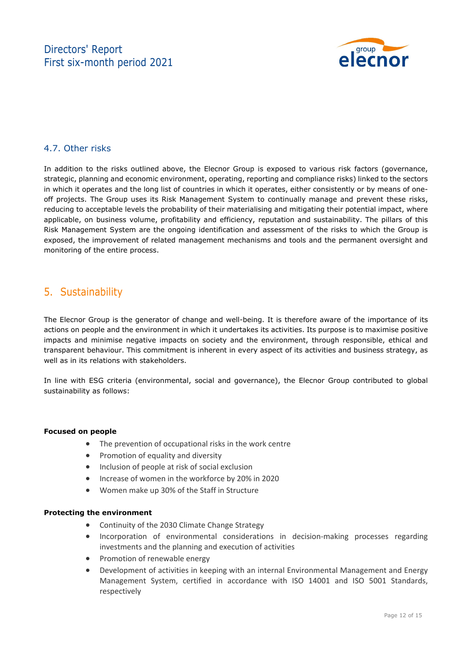

### 4.7. Other risks

In addition to the risks outlined above, the Elecnor Group is exposed to various risk factors (governance, strategic, planning and economic environment, operating, reporting and compliance risks) linked to the sectors in which it operates and the long list of countries in which it operates, either consistently or by means of oneoff projects. The Group uses its Risk Management System to continually manage and prevent these risks, reducing to acceptable levels the probability of their materialising and mitigating their potential impact, where applicable, on business volume, profitability and efficiency, reputation and sustainability. The pillars of this Risk Management System are the ongoing identification and assessment of the risks to which the Group is exposed, the improvement of related management mechanisms and tools and the permanent oversight and monitoring of the entire process.

### 5. Sustainability

The Elecnor Group is the generator of change and well-being. It is therefore aware of the importance of its actions on people and the environment in which it undertakes its activities. Its purpose is to maximise positive impacts and minimise negative impacts on society and the environment, through responsible, ethical and transparent behaviour. This commitment is inherent in every aspect of its activities and business strategy, as well as in its relations with stakeholders.

In line with ESG criteria (environmental, social and governance), the Elecnor Group contributed to global sustainability as follows:

#### **Focused on people**

- The prevention of occupational risks in the work centre
- Promotion of equality and diversity
- Inclusion of people at risk of social exclusion
- Increase of women in the workforce by 20% in 2020
- Women make up 30% of the Staff in Structure

#### **Protecting the environment**

- Continuity of the 2030 Climate Change Strategy
- Incorporation of environmental considerations in decision-making processes regarding investments and the planning and execution of activities
- Promotion of renewable energy
- Development of activities in keeping with an internal Environmental Management and Energy Management System, certified in accordance with ISO 14001 and ISO 5001 Standards, respectively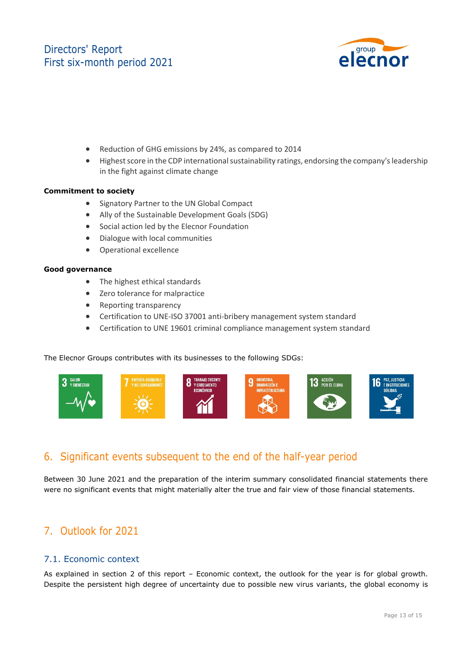### Directors' Report First six-month period 2021



- Reduction of GHG emissions by 24%, as compared to 2014
- Highest score in the CDP international sustainability ratings, endorsing the company's leadership in the fight against climate change

#### **Commitment to society**

- Signatory Partner to the UN Global Compact
- Ally of the Sustainable Development Goals (SDG)
- Social action led by the Elecnor Foundation
- Dialogue with local communities
- Operational excellence

#### **Good governance**

- The highest ethical standards
- Zero tolerance for malpractice
- Reporting transparency
- Certification to UNE‐ISO 37001 anti‐bribery management system standard
- Certification to UNE 19601 criminal compliance management system standard

The Elecnor Groups contributes with its businesses to the following SDGs:



### 6. Significant events subsequent to the end of the half-year period

Between 30 June 2021 and the preparation of the interim summary consolidated financial statements there were no significant events that might materially alter the true and fair view of those financial statements.

### 7. Outlook for 2021

### 7.1. Economic context

As explained in section 2 of this report – Economic context, the outlook for the year is for global growth. Despite the persistent high degree of uncertainty due to possible new virus variants, the global economy is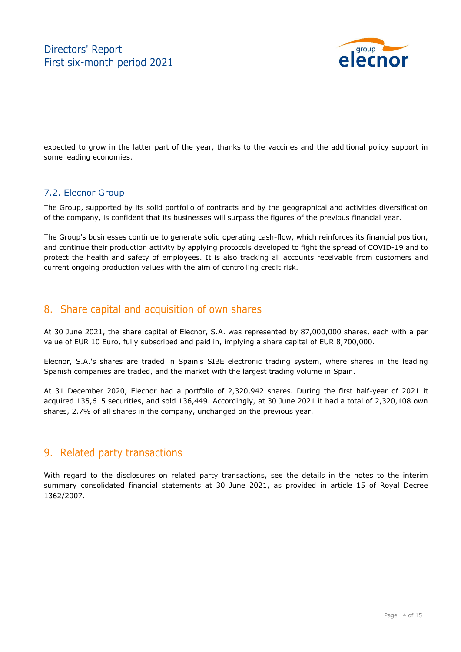

expected to grow in the latter part of the year, thanks to the vaccines and the additional policy support in some leading economies.

### 7.2. Elecnor Group

The Group, supported by its solid portfolio of contracts and by the geographical and activities diversification of the company, is confident that its businesses will surpass the figures of the previous financial year.

The Group's businesses continue to generate solid operating cash-flow, which reinforces its financial position, and continue their production activity by applying protocols developed to fight the spread of COVID-19 and to protect the health and safety of employees. It is also tracking all accounts receivable from customers and current ongoing production values with the aim of controlling credit risk.

### 8. Share capital and acquisition of own shares

At 30 June 2021, the share capital of Elecnor, S.A. was represented by 87,000,000 shares, each with a par value of EUR 10 Euro, fully subscribed and paid in, implying a share capital of EUR 8,700,000.

Elecnor, S.A.'s shares are traded in Spain's SIBE electronic trading system, where shares in the leading Spanish companies are traded, and the market with the largest trading volume in Spain.

At 31 December 2020, Elecnor had a portfolio of 2,320,942 shares. During the first half-year of 2021 it acquired 135,615 securities, and sold 136,449. Accordingly, at 30 June 2021 it had a total of 2,320,108 own shares, 2.7% of all shares in the company, unchanged on the previous year.

### 9. Related party transactions

With regard to the disclosures on related party transactions, see the details in the notes to the interim summary consolidated financial statements at 30 June 2021, as provided in article 15 of Royal Decree 1362/2007.